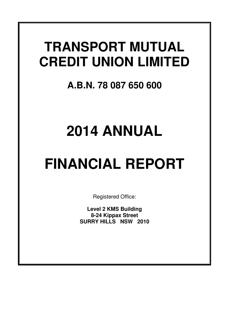# **TRANSPORT MUTUAL CREDIT UNION LIMITED**

# **A.B.N. 78 087 650 600**

# **2014 ANNUAL**

# **FINANCIAL REPORT**

Registered Office:

**Level 2 KMS Building 8-24 Kippax Street SURRY HILLS NSW 2010**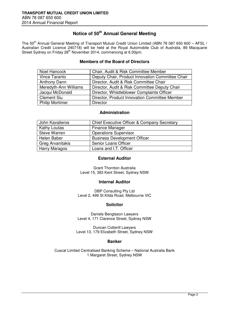# **Notice of 50th Annual General Meeting**

The 50<sup>th</sup> Annual General Meeting of Transport Mutual Credit Union Limited (ABN 78 087 650 600 – AFSL / Australian Credit Licence 240718) will be held at the Royal Automobile Club of Australia, 89 Macquarie Street Sydney on Friday 28<sup>th</sup> November 2014, commencing at 6.00pm.

# **Members of the Board of Directors**

| Noel Hancock           | Chair, Audit & Risk Committee Member             |
|------------------------|--------------------------------------------------|
| Vince Taranto          | Deputy Chair, Product Innovation Committee Chair |
| <b>Anthony Dann</b>    | Director, Audit & Risk Committee Chair           |
| Meredyth-Ann Williams  | Director, Audit & Risk Committee Deputy Chair    |
| Jacqui McDonald        | Director, Whistleblower Complaints Officer       |
| <b>Clement Siu</b>     | Director, Product Innovation Committee Member    |
| <b>Philip Mortimer</b> | <b>Director</b>                                  |

# **Administration**

| John Kavalieros     | <b>Chief Executive Officer &amp; Company Secretary</b> |
|---------------------|--------------------------------------------------------|
| <b>Kathy Loutas</b> | Finance Manager                                        |
| <b>Steve Warren</b> | <b>Operations Supervisor</b>                           |
| Helen Baber         | <b>Business Development Officer</b>                    |
| Greg Arvanitakis    | <b>Senior Loans Officer</b>                            |
| Harry Maragos       | Loans and I.T. Officer                                 |

# **External Auditor**

Grant Thornton Australia Level 15, 383 Kent Street, Sydney NSW

#### **Internal Auditor**

DBP Consulting Pty Ltd Level 2, 499 St Kilda Road, Melbourne VIC

# **Solicitor**

Daniels Bengtsson Lawyers Level 4, 171 Clarence Street, Sydney NSW

Duncan Cotterill Lawyers Level 13, 179 Elizabeth Street, Sydney NSW

# **Banker**

Cuscal Limited Centralised Banking Scheme – National Australia Bank 1 Margaret Street, Sydney NSW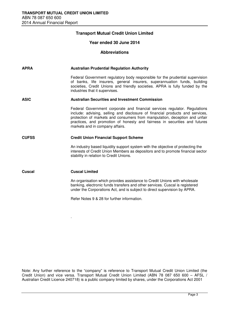.

# **Transport Mutual Credit Union Limited**

# **Year ended 30 June 2014**

#### **Abbreviations**

| <b>APRA</b>  | <b>Australian Prudential Regulation Authority</b>                                                                                                                                                                                                                                                                                                           |
|--------------|-------------------------------------------------------------------------------------------------------------------------------------------------------------------------------------------------------------------------------------------------------------------------------------------------------------------------------------------------------------|
|              | Federal Government regulatory body responsible for the prudential supervision<br>of banks, life insurers, general insurers, superannuation funds, building<br>societies, Credit Unions and friendly societies. APRA is fully funded by the<br>industries that it supervises.                                                                                |
| <b>ASIC</b>  | <b>Australian Securities and Investment Commission</b>                                                                                                                                                                                                                                                                                                      |
|              | Federal Government corporate and financial services regulator. Regulations<br>include: advising, selling and disclosure of financial products and services,<br>protection of markets and consumers from manipulation, deception and unfair<br>practices, and promotion of honesty and fairness in securities and futures<br>markets and in company affairs. |
| <b>CUFSS</b> | <b>Credit Union Financial Support Scheme</b>                                                                                                                                                                                                                                                                                                                |
|              | An industry based liquidity support system with the objective of protecting the<br>interests of Credit Union Members as depositors and to promote financial sector<br>stability in relation to Credit Unions.                                                                                                                                               |
| Cuscal       | <b>Cuscal Limited</b>                                                                                                                                                                                                                                                                                                                                       |
|              | An organisation which provides assistance to Credit Unions with wholesale<br>banking, electronic funds transfers and other services. Cuscal is registered<br>under the Corporations Act, and is subject to direct supervision by APRA.                                                                                                                      |
|              | Refer Notes 9 & 28 for further information.                                                                                                                                                                                                                                                                                                                 |

Note: Any further reference to the "company" is reference to Transport Mutual Credit Union Limited (the Credit Union) and vice versa. Transport Mutual Credit Union Limited (ABN 78 087 650 600 – AFSL / Australian Credit Licence 240718) is a public company limited by shares, under the Corporations Act 2001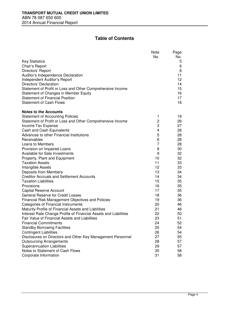# **Table of Contents**

|                                                                                 | Note | Page     |
|---------------------------------------------------------------------------------|------|----------|
|                                                                                 | No.  | No.      |
| <b>Key Statistics</b>                                                           |      | 5        |
| Chair's Report                                                                  |      | 6        |
| Directors' Report                                                               |      | 8        |
| Auditor's Independence Declaration                                              |      | 11       |
| Independent Auditor's Report                                                    |      | 12       |
| Directors' Declaration                                                          |      | 14<br>15 |
| Statement of Profit or Loss and Other Comprehensive Income                      |      | 16       |
| Statement of Changes in Member Equity<br><b>Statement of Financial Position</b> |      | 17       |
| <b>Statement of Cash Flows</b>                                                  |      | 18       |
|                                                                                 |      |          |
| <b>Notes to the Accounts</b>                                                    |      |          |
| <b>Statement of Accounting Policies</b>                                         | 1    | 19       |
| Statement of Profit or Loss and Other Comprehensive Income                      | 2    | 26       |
| Income Tax Expense                                                              | 3    | 27       |
| Cash and Cash Equivalents                                                       | 4    | 28       |
| Advances to other Financial Institutions                                        | 5    | 28       |
| Receivables                                                                     | 6    | 28       |
| Loans to Members                                                                | 7    | 28       |
| Provision on Impaired Loans                                                     | 8    | 30       |
| Available for Sale Investments                                                  | 9    | 32       |
| Property, Plant and Equipment                                                   | 10   | 32       |
| <b>Taxation Assets</b>                                                          | 11   | 33       |
| Intangible Assets                                                               | 12   | 33       |
| Deposits from Members                                                           | 13   | 34       |
| <b>Creditor Accruals and Settlement Accounts</b>                                | 14   | 34       |
| <b>Taxation Liabilities</b>                                                     | 15   | 35       |
| Provisions                                                                      | 16   | 35       |
| <b>Capital Reserve Account</b>                                                  | 17   | 35       |
| General Reserve for Credit Losses                                               | 18   | 36       |
| <b>Financial Risk Management Objectives and Policies</b>                        | 19   | 36       |
| Categories of Financial Instruments                                             | 20   | 46       |
| Maturity Profile of Financial Assets and Liabilities                            | 21   | 48       |
| Interest Rate Change Profile of Financial Assets and Liabilities                | 22   | 50       |
| Fair Value of Financial Assets and Liabilities                                  | 23   | 51       |
| Financial Commitments                                                           | 24   | 52       |
| <b>Standby Borrowing Facilities</b>                                             | 25   | 54       |
| <b>Contingent Liabilities</b>                                                   | 26   | 54       |
| Disclosures on Directors and Other Key Management Personnel                     | 27   | 55       |
| <b>Outsourcing Arrangements</b>                                                 | 28   | 57       |
| <b>Superannuation Liabilities</b>                                               | 29   | 57       |
| Notes to Statement of Cash Flows                                                | 30   | 58       |
| Corporate Information                                                           | 31   | 58       |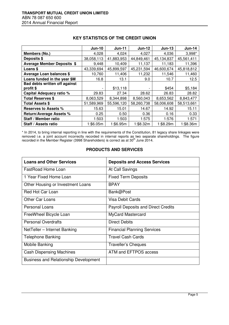|                                      | <b>Jun-10</b> | <b>Jun-11</b> | <b>Jun-12</b> | $Jun-13$   | <b>Jun-14</b> |
|--------------------------------------|---------------|---------------|---------------|------------|---------------|
| Members (No.)                        | 4,028         | 4,024         | 4,027         | 4,036      | 3,998*        |
| Deposits \$                          | 38,058,113    | 41,883,953    | 44,849,461    | 45,134,837 | 45,561,411    |
| <b>Average Member Deposits \$</b>    | 9,448         | 10,409        | 11,137        | 11,183     | 11,396        |
| Loans \$                             | 43,339,694    | 45,899,597    | 45,231,594    | 46,600,674 | 45,818,812    |
| <b>Average Loan balances \$</b>      | 10,760        | 11,406        | 11,232        | 11,546     | 11,460        |
| Loans funded in the year \$M         | 16.8          | 13.1          | 9.0           | 10.7       | 12.5          |
| <b>Bad debts written off against</b> |               |               |               |            |               |
| profit \$                            |               | \$13,118      |               | \$454      | \$5,184       |
| Capital Adequacy ratio %             | 29.83         | 27.34         | 28.62         | 26.83      | 28.82         |
| <b>Total Reserves \$</b>             | 8,063,529     | 8,344,898     | 8,560,043     | 8,653,562  | 8,843,477     |
| <b>Total Assets \$</b>               | 51,589,969    | 55,596,120    | 58,260,738    | 58,006,608 | 58,513,661    |
| <b>Reserves to Assets %</b>          | 15.63         | 15.01         | 14.67         | 14.92      | 15.11         |
| <b>Return/Average Assets %</b>       | 0.25          | 0.50          | 0.36          | 0.16       | 0.33          |
| Staff / Member ratio                 | 1:503         | 1:503         | 1:575         | 1:576      | 1:571         |
| Staff / Assets ratio                 | 1:\$6.05m     | 1:\$6.95m     | 1:\$8.32m     | 1:\$8.29m  | 1:\$8.36m     |

# **KEY STATISTICS OF THE CREDIT UNION**

\* In 2014, to bring internal reporting in line with the requirements of the Constitution, 81 legacy share linkages were removed i.e. a joint account incorrectly recorded in internal reports as two separate shareholdings. The figure recorded in the Member Register (3998 Shareholders) is correct as at 30<sup>th</sup> June 2014.

# **PRODUCTS AND SERVICES**

| <b>Loans and Other Services</b>              | <b>Deposits and Access Services</b>        |
|----------------------------------------------|--------------------------------------------|
| <b>FastRoad Home Loan</b>                    | At Call Savings                            |
| 1 Year Fixed Home Loan                       | <b>Fixed Term Deposits</b>                 |
| Other Housing or Investment Loans            | <b>BPAY</b>                                |
| Red Hot Car Loan                             | Bank@Post                                  |
| <b>Other Car Loans</b>                       | <b>Visa Debit Cards</b>                    |
| Personal Loans                               | <b>Payroll Deposits and Direct Credits</b> |
| FreeWheel Bicycle Loan                       | <b>MyCard Mastercard</b>                   |
| <b>Personal Overdrafts</b>                   | <b>Direct Debits</b>                       |
| NetTeller - Internet Banking                 | <b>Financial Planning Services</b>         |
| <b>Telephone Banking</b>                     | <b>Travel Cash Cards</b>                   |
| Mobile Banking                               | Traveller's Cheques                        |
| <b>Cash Dispensing Machines</b>              | ATM and EFTPOS access                      |
| <b>Business and Relationship Development</b> |                                            |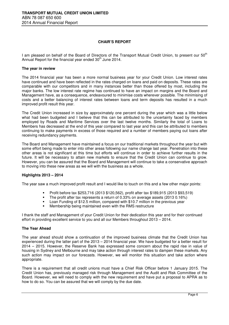# **CHAIR'S REPORT**

I am pleased on behalf of the Board of Directors of the Transport Mutual Credit Union, to present our 50<sup>th</sup> Annual Report for the financial year ended  $30<sup>th</sup>$  June 2014.

#### **The year in review**

The 2014 financial year has been a more normal business year for your Credit Union. Low interest rates have continued and have been reflected in the rates charged on loans and paid on deposits. These rates are comparable with our competitors and in many instances better than those offered by most, including the major banks. The low interest rate regime has continued to have an impact on margins and the Board and Management have, as a consequence, endeavoured to minimise costs wherever possible. The minimising of costs and a better balancing of interest rates between loans and term deposits has resulted in a much improved profit result this year.

The Credit Union increased in size by approximately one percent during the year which was a little below what had been budgeted and I believe that this can be attributed to the uncertainty faced by members employed by Roads and Maritime Services over the last twelve months. Similarly the total of Loans to Members has decreased at the end of this year compared to last year and this can be attributed to members continuing to make payments in excess of those required and a number of members paying out loans after receiving redundancy payments.

The Board and Management have maintained a focus on our traditional markets throughout the year but with some effort being made to enter into other areas following our name change last year. Penetration into these other areas is not significant at this time but efforts will continue in order to achieve further results in the future. It will be necessary to attain new markets to ensure that the Credit Union can continue to grow. However, you can be assured that the Board and Management will continue to take a conservative approach to moving into these new areas as we will with the business as a whole.

#### **Highlights 2013 – 2014**

The year saw a much improved profit result and I would like to touch on this and a few other major points:

- Profit before tax \$253,716 (2013 \$120,562), profit after tax \$189,915 (2013 \$93,519)
- The profit after tax represents a return of 0.33% on average assets (2013 0.16%)
- Loan Funding of \$12.5 million, compared with \$10.7 million in the previous year
- Membership being maintained even with the RMS restructure

I thank the staff and Management of your Credit Union for their dedication this year and for their continued effort in providing excellent service to you and all our Members throughout 2013 – 2014.

#### **The Year Ahead**

The year ahead should show a continuation of the improved business climate that the Credit Union has experienced during the latter part of the 2013 – 2014 financial year. We have budgeted for a better result for 2014 – 2015. However, the Reserve Bank has expressed some concern about the rapid rise in value of housing in Sydney and Melbourne and may take action through interest rates to dampen these markets. Any such action may impact on our forecasts. However, we will monitor this situation and take action where appropriate.

There is a requirement that all credit unions must have a Chief Risk Officer before 1 January 2015. The Credit Union has, previously managed risk through Management and the Audit and Risk Committee of the Board. However, we will need to comply with the new requirement and have put a proposal to APRA as to how to do so. You can be assured that we will comply by the due date.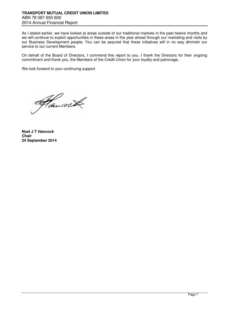As I stated earlier, we have looked at areas outside of our traditional markets in the past twelve months and we will continue to exploit opportunities in these areas in the year ahead through our marketing and visits by our Business Development people. You can be assured that these initiatives will in no way diminish our service to our current Members.

On behalf of the Board of Directors, I commend this report to you. I thank the Directors for their ongoing commitment and thank you, the Members of the Credit Union for your loyalty and patronage.

We look forward to your continuing support.

Hancock

**Noel J T Hancock Chair 24 September 2014**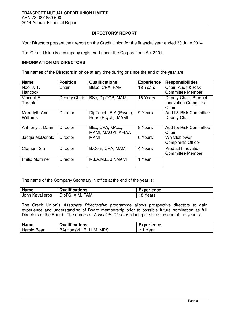# **DIRECTORS' REPORT**

Your Directors present their report on the Credit Union for the financial year ended 30 June 2014.

The Credit Union is a company registered under the Corporations Act 2001.

# **INFORMATION ON DIRECTORS**

The names of the Directors in office at any time during or since the end of the year are:

| <b>Name</b>                 | <b>Position</b> | <b>Qualifications</b>                        | <b>Experience</b> | <b>Responsibilities</b>                                       |
|-----------------------------|-----------------|----------------------------------------------|-------------------|---------------------------------------------------------------|
| Noel J.T.<br><b>Hancock</b> | Chair           | BBus, CPA, FAMI                              | 18 Years          | Chair, Audit & Risk<br><b>Committee Member</b>                |
| Vincent E.<br>Taranto       | Deputy Chair    | BSc, DipTCP, MAMI                            | 16 Years          | Deputy Chair, Product<br><b>Innovation Committee</b><br>Chair |
| Meredyth-Ann<br>Williams    | <b>Director</b> | DipTeach, B.A (Psych),<br>Hons (Psych), MAMI | 9 Years           | Audit & Risk Committee<br>Deputy Chair                        |
| Anthony J. Dann             | <b>Director</b> | BEc, CPA, MAcc,<br>MAMI, MAGPI, AFIAA        | 8 Years           | Audit & Risk Committee<br>Chair                               |
| Jacqui McDonald             | <b>Director</b> | <b>MAMI</b>                                  | 6 Years           | Whistleblower<br><b>Complaints Officer</b>                    |
| <b>Clement Siu</b>          | <b>Director</b> | B.Com, CPA, MAMI                             | 4 Years           | <b>Product Innovation</b><br><b>Committee Member</b>          |
| <b>Philip Mortimer</b>      | <b>Director</b> | M.I.A.M.E. JP, MAMI                          | 1 Year            |                                                               |

The name of the Company Secretary in office at the end of the year is:

| <b>Name</b>        | Qualifications                | <b>Experience</b> |
|--------------------|-------------------------------|-------------------|
| John<br>Kavalieros | AIM.<br><b>FAMI</b><br>DipFS. | 18 Years          |

The Credit Union's Associate Directorship programme allows prospective directors to gain experience and understanding of Board membership prior to possible future nomination as full Directors of the Board. The names of Associate Directors during or since the end of the year is:

| <b>Name</b>        | <b>Qualifications</b>               | <b>Experience</b> |
|--------------------|-------------------------------------|-------------------|
| <b>Harold Bear</b> | <b>MPS</b><br>BA(Hons)/LLB,<br>LLM. | Year              |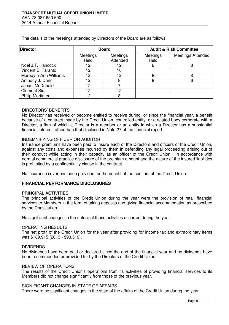**Director Board Audit & Risk Committee Board Audit & Risk Committee Meetings** Held Meetings Attended **Meetings** Held Meetings Attended Noel J.T. Hancock | 12 | 12 | 8 | 8 Vincent E. Taranto | 12 10 Meredyth-Ann Williams 12 12 12 8 8 Anthony J. Dann 12 12 8 8 8 6 Jacqui McDonald  $\overline{12}$  12 7 Clement Siu 12 12 12 Philip Mortimer 12 8

The details of the meetings attended by Directors of the Board are as follows:

## DIRECTORS' BENEFITS

No Director has received or become entitled to receive during, or since the financial year, a benefit because of a contract made by the Credit Union, controlled entity, or a related body corporate with a Director, a firm of which a Director is a member or an entity in which a Director has a substantial financial interest, other than that disclosed in Note 27 of the financial report.

## INDEMNIFYING OFFICER OR AUDITOR

Insurance premiums have been paid to insure each of the Directors and officers of the Credit Union, against any costs and expenses incurred by them in defending any legal proceeding arising out of their conduct while acting in their capacity as an officer of the Credit Union. In accordance with normal commercial practice disclosure of the premium amount and the nature of the insured liabilities is prohibited by a confidentiality clause in the contract.

No insurance cover has been provided for the benefit of the auditors of the Credit Union.

#### **FINANCIAL PERFORMANCE DISCLOSURES**

#### PRINCIPAL ACTIVITIES

The principal activities of the Credit Union during the year were the provision of retail financial services to Members in the form of taking deposits and giving financial accommodation as prescribed by the Constitution.

No significant changes in the nature of these activities occurred during the year.

#### OPERATING RESULTS

The net profit of the Credit Union for the year after providing for income tax and extraordinary items was \$189,915 (2013 - \$93,519).

## DIVIDENDS

No dividends have been paid or declared since the end of the financial year and no dividends have been recommended or provided for by the Directors of the Credit Union.

# REVIEW OF OPERATIONS

The results of the Credit Union's operations from its activities of providing financial services to its Members did not change significantly from those of the previous year.

## SIGNIFICANT CHANGES IN STATE OF AFFAIRS

There were no significant changes in the state of the affairs of the Credit Union during the year.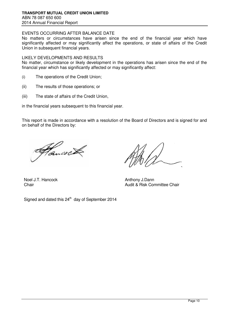# EVENTS OCCURRING AFTER BALANCE DATE

No matters or circumstances have arisen since the end of the financial year which have significantly affected or may significantly affect the operations, or state of affairs of the Credit Union in subsequent financial years.

#### LIKELY DEVELOPMENTS AND RESULTS

No matter, circumstance or likely development in the operations has arisen since the end of the financial year which has significantly affected or may significantly affect:

- (i) The operations of the Credit Union;
- (ii) The results of those operations; or
- (iii) The state of affairs of the Credit Union,

in the financial years subsequent to this financial year.

This report is made in accordance with a resolution of the Board of Directors and is signed for and on behalf of the Directors by:

ancoci

Noel J.T. Hancock **Anthony J.Dann** 

Signed and dated this  $24<sup>th</sup>$  day of September 2014

**Chair** Chair **Chair Chair Chair Chair Chair Chair Chair Chair Chair Chair Chair Chair Chair**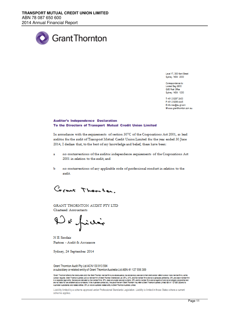

Level 17, 383 Kent Street Sydney NSW 2000

Correspondence to: Locked Bag Q800 OVB Post Office Sydney NSW 1230

T+61 2 8297 2400 F +61 2 9299 4445 Einfo.new@au.gt.com W www.grantthomton.com.cu

#### **Auditor's Independence Declaration** To the Directors of Transport Mutual Credit Union Limited

In accordance with the requirements of section 307C of the Corporations Act 2001, as lead auditor for the audit of Transport Mutual Credit Union Limited for the year ended 30 June 2014, I declare that, to the best of my knowledge and belief, there have been:

- no contraventions of the auditor independence requirements of the Corporations Act ă. 2001 in relation to the audit; and
- Ъ no contraventions of any applicable code of professional conduct in relation to the audit.

Corant Thomton.

GRANT THORNTON AUDIT PTY LTD Chartered Accountants

D & fini

N E Sinclair Partner - Audit & Assurance

Sydney, 24 September 2014

Grant Thomton Audit Pty Ltd ACN 130 913 594 a subsidiary or related entity of Grant Thornton Australia Ltd ABN 41 127 556 389

Grent Thomton refers to the brend under which the Grent Thomton member imms provide assurence, tax and advisory services to their clients and/or refers to one or more member frms, as the context requires. Gent Thombon Australia Ltd is a member from of Grant Thombon Interactional Ltd (GTL), GTL, and the member from served a worldwide partnership. GTL and each member from<br>its a separate legal entity, Service

Liability limited by a scheme approved under Professional Standards Legislation. Liability is limited in those States where a current scheme applies.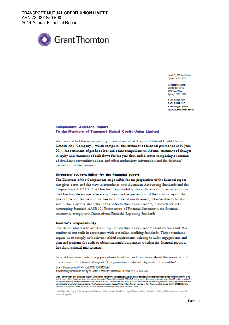

Lew L17, 383 Kent Sheet Sydney NSW 2000

Correspondence for Locked Bag 0800 **OVB Post Office** Sydney NSW 1230

T+61 2 8297 2400 F+61 2 9299 4445 Einfo.new@au.gt.com Www.grantthomton.com.au

#### **Independent Auditor's Report** To the Members of Transport Mutual Credit Union Limited

We have audited the accompanying financial report of Transport Mutual Credit Union Limited (the "Company"), which comprises the statement of financial position as at 30 June 2014, the statement of profit or loss and other comprehensive income, statement of changes in equity and statement of cash flows for the year then ended, notes comprising a summary of significant accounting policies and other explanatory information and the directors' declaration of the company.

#### Directors' responsibility for the financial report

The Directors of the Company are responsible for the preparation of the financial report that gives a true and fair view in accordance with Australian Accounting Standards and the Corporations Act 2001. The Directors' responsibility also includes such internal control as the Directors determine is necessary to enable the preparation of the financial report that gives a true and fair view and is free from material misstatement, whether due to fraud or error. The Directors also state, in the notes to the financial report, in accordance with Accounting Standard AASB 101 Presentation of Financial Statements, the financial statements comply with International Financial Reporting Standards.

#### **Auditor's responsibility**

Our responsibility is to express an opinion on the financial report based on our audit. We conducted our audit in accordance with Australian Auditing Standards. Those standards require us to comply with relevant ethical requirements relating to audit engagements and plan and perform the audit to obtain reasonable assurance whether the financial report is free from material misstatement.

An audit involves performing procedures to obtain audit evidence about the amounts and disclosures in the financial report. The procedures selected depend on the auditor's

Grant Thomton Audit Pty Ltd ACN 130 913 594 a subsidiary or related entity of Grant Thornton Australia Ltd ABN 41 127 556 389

Grent Thomton'refers to the brendunder which the Grent Thomton member from provide assurance, tax and advisory services to their clients and/or refers to one or more member from, as the context requires. Gent Thomon Australe Ltd is a nember from of Grent Thombo histensional Ltd (GTL), GTL endthermenter from seriest explored is understood and the member from second and the member from the from the from the ere not lebie for one enothers acts or omitsions. In the Australian context only, the use of the term Thombor' may refer to Grent Thombor Australia Umited ABN 41 127555 380 and its<br>Australian subsidiaries and related entit

Liability limited by a scheme approved under Professional Standards Legislation. Liability is limited in those States where a current scheme applies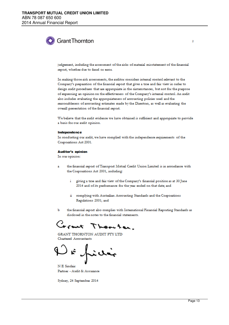# **Grant Thornton**

judgement, including the assessment of the risks of material misstatement of the financial report, whether due to fraud or error.

In making those risk assessments, the auditor considers internal control relevant to the Company's preparation of the financial report that gives a true and fair view in order to design audit procedures that are appropriate in the circumstances, but not for the purpose of expressing an opinion on the effectiveness of the Company's internal control. An audit also includes evaluating the appropriateness of accounting policies used and the reasonableness of accounting estimates made by the Directors, as well as evaluating the overall presentation of the financial report.

We believe that the audit evidence we have obtained is sufficient and appropriate to provide a basis for our audit opinion.

#### Independence

In conducting our audit, we have complied with the independence requirements of the Corporations Act 2001.

#### **Auditor's opinion**

In our opinion:

- the financial report of Transport Mutual Credit Union Limited is in accordance with the Corporations Act 2001, including:
	- giving a true and fair view of the Company's financial position as at 30 June ÷ 2014 and of its performance for the year ended on that date; and
	- ii complying with Australian Accounting Standards and the Corporations Regulations 2001; and
- the financial report also complies with International Financial Reporting Standards as Ъ disclosed in the notes to the financial statements.

work Thornton.

GRANT THORNTON AUDIT PTY LTD Chartered Accountants

N E Sinclair Partner - Audit & Assurance

Sydney, 24 September 2014

 $\overline{2}$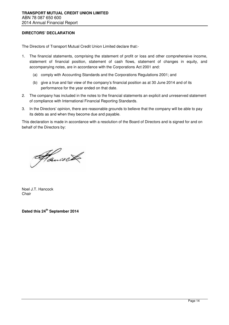# **DIRECTORS' DECLARATION**

The Directors of Transport Mutual Credit Union Limited declare that:-

- 1. The financial statements, comprising the statement of profit or loss and other comprehensive income, statement of financial position, statement of cash flows, statement of changes in equity, and accompanying notes, are in accordance with the Corporations Act 2001 and:
	- (a) comply with Accounting Standards and the Corporations Regulations 2001; and
	- (b) give a true and fair view of the company's financial position as at 30 June 2014 and of its performance for the year ended on that date.
- 2. The company has included in the notes to the financial statements an explicit and unreserved statement of compliance with International Financial Reporting Standards.
- 3. In the Directors' opinion, there are reasonable grounds to believe that the company will be able to pay its debts as and when they become due and payable.

This declaration is made in accordance with a resolution of the Board of Directors and is signed for and on behalf of the Directors by:

Hancock

Noel J.T. Hancock Chair

**Dated this 24th September 2014**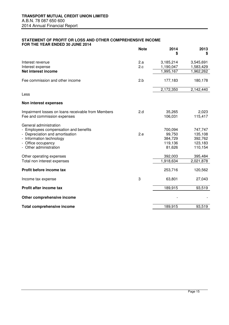#### **STATEMENT OF PROFIT OR LOSS AND OTHER COMPREHENSIVE INCOME FOR THE YEAR ENDED 30 JUNE 2014**

|                                                                 | <b>Note</b> | 2014      | 2013<br>\$ |
|-----------------------------------------------------------------|-------------|-----------|------------|
| Interest revenue                                                | 2.a         | 3,185,214 | 3,545,691  |
| Interest expense                                                | 2.c         | 1,190,047 | 1,583,429  |
| Net interest income                                             |             | 1,995,167 | 1,962,262  |
| Fee commission and other income                                 | 2.b         | 177,183   | 180,178    |
|                                                                 |             | 2,172,350 | 2,142,440  |
| Less                                                            |             |           |            |
| Non interest expenses                                           |             |           |            |
| Impairment losses on loans receivable from Members              | 2.d         | 35,265    | 2,023      |
| Fee and commission expenses                                     |             | 106,031   | 115,417    |
| General administration<br>- Employees compensation and benefits |             | 700,094   | 747,747    |
| - Depreciation and amortisation                                 | 2.e         | 99,750    | 135,108    |
| Information technology                                          |             | 384,729   | 392,762    |
| Office occupancy                                                |             | 119,136   | 123,183    |
| - Other administration                                          |             | 81,626    | 110,154    |
| Other operating expenses                                        |             | 392,003   | 395,484    |
| Total non interest expenses                                     |             | 1,918,634 | 2,021,878  |
| Profit before income tax                                        |             | 253,716   | 120,562    |
| Income tax expense                                              | 3           | 63,801    | 27,043     |
| Profit after income tax                                         |             | 189,915   | 93,519     |
| Other comprehensive income                                      |             |           |            |
| <b>Total comprehensive income</b>                               |             | 189,915   | 93,519     |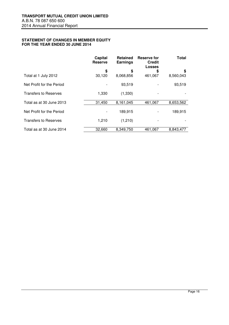#### **STATEMENT OF CHANGES IN MEMBER EQUITY FOR THE YEAR ENDED 30 JUNE 2014**

|                              | Capital<br><b>Reserve</b> | <b>Retained</b><br><b>Earnings</b> | Reserve for<br><b>Credit</b><br><b>Losses</b> | <b>Total</b> |
|------------------------------|---------------------------|------------------------------------|-----------------------------------------------|--------------|
|                              | \$                        | \$                                 | \$                                            | \$           |
| Total at 1 July 2012         | 30,120                    | 8,068,856                          | 461,067                                       | 8,560,043    |
| Net Profit for the Period    |                           | 93,519                             |                                               | 93,519       |
| <b>Transfers to Reserves</b> | 1,330                     | (1,330)                            |                                               |              |
| Total as at 30 June 2013     | 31,450                    | 8,161,045                          | 461,067                                       | 8,653,562    |
| Net Profit for the Period    |                           | 189,915                            |                                               | 189,915      |
| <b>Transfers to Reserves</b> | 1,210                     | (1,210)                            |                                               |              |
| Total as at 30 June 2014     | 32,660                    | 8.349.750                          | 461,067                                       | 8.843.477    |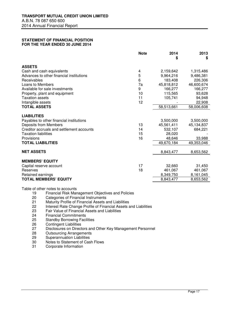#### **STATEMENT OF FINANCIAL POSITION FOR THE YEAR ENDED 30 JUNE 2014**

|                                               | <b>Note</b> | 2014<br>\$ | 2013<br>\$ |
|-----------------------------------------------|-------------|------------|------------|
| <b>ASSETS</b>                                 |             |            |            |
| Cash and cash equivalents<br>4                |             | 2,159,642  | 1,315,486  |
| 5<br>Advances to other financial institutions |             | 9,964,216  | 9,486,381  |
| Receivables<br>6                              |             | 183,408    | 226,306    |
| Loans to Members                              | 7a          | 45,818,812 | 46,600,674 |
| Available for sale investments<br>9           |             | 166,277    | 166,277    |
| Property, plant and equipment                 | 10          | 115,565    | 93,628     |
| <b>Taxation assets</b>                        | 11          | 105,741    | 94,948     |
| Intangible assets                             | 12          |            | 22,908     |
| <b>TOTAL ASSETS</b>                           |             | 58,513,661 | 58,006,608 |
| <b>LIABILITIES</b>                            |             |            |            |
| Payables to other financial institutions      |             | 3,500,000  | 3,500,000  |
| <b>Deposits from Members</b>                  | 13          | 45,561,411 | 45,134,837 |
| Creditor accruals and settlement accounts     | 14          | 532,107    | 684,221    |
| <b>Taxation liabilities</b>                   | 15          | 28,020     |            |
| Provisions                                    | 16          | 48,646     | 33,988     |
| <b>TOTAL LIABILITIES</b>                      |             | 49,670,184 | 49,353,046 |
|                                               |             |            |            |
| <b>NET ASSETS</b>                             |             | 8,843,477  | 8,653,562  |
| <b>MEMBERS' EQUITY</b>                        |             |            |            |
| Capital reserve account                       | 17          | 32,660     | 31,450     |
| Reserves                                      | 18          | 461.067    | 461,067    |
| Retained earnings                             |             | 8,349,750  | 8,161,045  |
| <b>TOTAL MEMBERS' EQUITY</b>                  |             | 8,843,477  | 8,653,562  |

Table of other notes to accounts

- 19 Financial Risk Management Objectives and Policies<br>20 Categories of Financial Instruments
- 20 Categories of Financial Instruments<br>21 Maturity Profile of Financial Assets a
- 21 Maturity Profile of Financial Assets and Liabilities<br>22 Interest Rate Change Profile of Financial Assets a
- 22 Interest Rate Change Profile of Financial Assets and Liabilities<br>23 Fair Value of Financial Assets and Liabilities
- 23 Fair Value of Financial Assets and Liabilities<br>24 Financial Commitments
- 24 Financial Commitments<br>25 Standby Borrowing Faci
- **Standby Borrowing Facilities**
- 26 Contingent Liabilities
- 27 Disclosures on Directors and Other Key Management Personnel
- 28 Outsourcing Arrangements<br>29 Superannuation Liabilities
- Superannuation Liabilities
- 30 Notes to Statement of Cash Flows
- 31 Corporate Information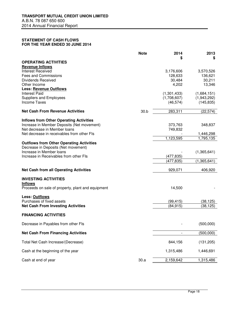#### **STATEMENT OF CASH FLOWS FOR THE YEAR ENDED 30 JUNE 2014**

|                                                                     | <b>Note</b> | 2014<br>S                | 2013<br>S                 |
|---------------------------------------------------------------------|-------------|--------------------------|---------------------------|
| <b>OPERATING ACTIVITIES</b>                                         |             |                          |                           |
| <b>Revenue Inflows</b>                                              |             |                          |                           |
| <b>Interest Received</b><br><b>Fees and Commissions</b>             |             | 3,176,606<br>128,633     | 3,570,526<br>136,621      |
| <b>Dividends Received</b>                                           |             | 30,484                   | 30,211                    |
| Other Income                                                        |             | 4,202                    | 13,346                    |
| <b>Less: Revenue Outflows</b>                                       |             |                          |                           |
| <b>Interest Paid</b>                                                |             | (1,301,433)              | (1,684,151)               |
| Suppliers and Employees<br><b>Income Taxes</b>                      |             | (1,708,607)<br>(46, 574) | (1,943,292)<br>(145, 835) |
|                                                                     |             |                          |                           |
| <b>Net Cash From Revenue Activities</b>                             | 30.b        | 283,311                  | (22, 574)                 |
| <b>Inflows from Other Operating Activities</b>                      |             |                          |                           |
| Increase in Member Deposits (Net movement)                          |             | 373,763                  | 348,837                   |
| Net decrease in Member loans                                        |             | 749,832                  |                           |
| Net decrease in receivables from other FIs                          |             | 1,123,595                | 1,446,298<br>1,795,135    |
| <b>Outflows from Other Operating Activities</b>                     |             |                          |                           |
| Decrease in Deposits (Net movement)                                 |             |                          |                           |
| Increase in Member Ioans                                            |             |                          | (1,365,641)               |
| Increase in Receivables from other FIs                              |             | (477,835)                |                           |
|                                                                     |             | (477, 835)               | (1,365,641)               |
| <b>Net Cash from all Operating Activities</b>                       |             | 929,071                  | 406,920                   |
| <b>INVESTING ACTIVITIES</b>                                         |             |                          |                           |
| <b>Inflows</b><br>Proceeds on sale of property, plant and equipment |             | 14,500                   |                           |
|                                                                     |             |                          |                           |
| Less: Outflows<br>Purchases of fixed assets                         |             |                          |                           |
| <b>Net Cash From Investing Activities</b>                           |             | (99, 415)<br>(84, 915)   | (38, 125)<br>(38,125)     |
|                                                                     |             |                          |                           |
| <b>FINANCING ACTIVITIES</b>                                         |             |                          |                           |
| Decrease in Payables from other FIs                                 |             |                          | (500,000)                 |
| <b>Net Cash From Financing Activities</b>                           |             | $\overline{\phantom{a}}$ | (500, 000)                |
| Total Net Cash Increase/(Decrease)                                  |             | 844,156                  | (131, 205)                |
| Cash at the beginning of the year                                   |             | 1,315,486                | 1,446,691                 |
| Cash at end of year                                                 | 30.a        | 2,159,642                | 1,315,486                 |
|                                                                     |             |                          |                           |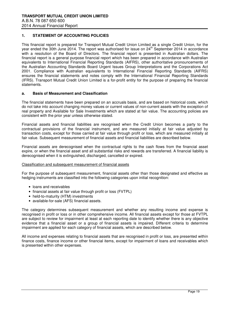## **1. STATEMENT OF ACCOUNTING POLICIES**

This financial report is prepared for Transport Mutual Credit Union Limited as a single Credit Union, for the year ended the 30th June 2014. The report was authorised for issue on 24<sup>th</sup> September 2014 in accordance with a resolution of the Board of Directors. The financial report is presented in Australian dollars. The financial report is a general purpose financial report which has been prepared in accordance with Australian equivalents to International Financial Reporting Standards (AIFRS), other authoritative pronouncements of the Australian Accounting Standards Board Urgent Issues Group Interpretations and the Corporations Act 2001. Compliance with Australian equivalents to International Financial Reporting Standards (AIFRS) ensures the financial statements and notes comply with the International Financial Reporting Standards (IFRS). Transport Mutual Credit Union Limited is a for-profit entity for the purpose of preparing the financial statements.

#### **a. Basis of Measurement and Classification**

The financial statements have been prepared on an accruals basis, and are based on historical costs, which do not take into account changing money values or current values of non-current assets with the exception of real property and Available for Sale Investments which are stated at fair value. The accounting policies are consistent with the prior year unless otherwise stated.

Financial assets and financial liabilities are recognised when the Credit Union becomes a party to the contractual provisions of the financial instrument, and are measured initially at fair value adjusted by transaction costs, except for those carried at fair value through profit or loss, which are measured initially at fair value. Subsequent measurement of financial assets and financial liabilities are described below.

Financial assets are derecognised when the contractual rights to the cash flows from the financial asset expire, or when the financial asset and all substantial risks and rewards are transferred. A financial liability is derecognised when it is extinguished, discharged, cancelled or expired.

#### Classification and subsequent measurement of financial assets

For the purpose of subsequent measurement, financial assets other than those designated and effective as hedging instruments are classified into the following categories upon initial recognition:

- loans and receivables
- financial assets at fair value through profit or loss (FVTPL)
- held-to-maturity (HTM) investments
- available-for-sale (AFS) financial assets.

The category determines subsequent measurement and whether any resulting income and expense is recognised in profit or loss or in other comprehensive income. All financial assets except for those at FVTPL are subject to review for impairment at least at each reporting date to identify whether there is any objective evidence that a financial asset or a group of financial assets is impaired. Different criteria to determine impairment are applied for each category of financial assets, which are described below.

All income and expenses relating to financial assets that are recognised in profit or loss, are presented within finance costs, finance income or other financial items, except for impairment of loans and receivables which is presented within other expenses.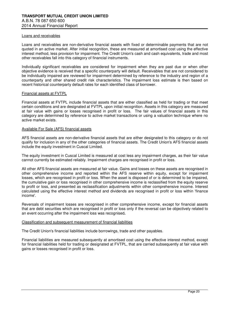#### Loans and receivables

Loans and receivables are non-derivative financial assets with fixed or determinable payments that are not quoted in an active market. After initial recognition, these are measured at amortised cost using the effective interest method, less provision for impairment. The Credit Union's cash and cash equivalents, trade and most other receivables fall into this category of financial instruments.

Individually significant receivables are considered for impairment when they are past due or when other objective evidence is received that a specific counterparty will default. Receivables that are not considered to be individually impaired are reviewed for impairment determined by reference to the industry and region of a counterparty and other shared credit risk characteristics. The impairment loss estimate is then based on recent historical counterparty default rates for each identified class of borrower.

#### Financial assets at FVTPL

Financial assets at FVTPL include financial assets that are either classified as held for trading or that meet certain conditions and are designated at FVTPL upon initial recognition. Assets in this category are measured at fair value with gains or losses recognised in profit or loss. The fair values of financial assets in this category are determined by reference to active market transactions or using a valuation technique where no active market exists.

#### Available For Sale (AFS) financial assets

AFS financial assets are non-derivative financial assets that are either designated to this category or do not qualify for inclusion in any of the other categories of financial assets. The Credit Union's AFS financial assets include the equity investment in Cuscal Limited.

The equity investment in Cuscal Limited is measured at cost less any impairment charges, as their fair value cannot currently be estimated reliably. Impairment charges are recognised in profit or loss.

All other AFS financial assets are measured at fair value. Gains and losses on these assets are recognised in other comprehensive income and reported within the AFS reserve within equity, except for impairment losses, which are recognised in profit or loss. When the asset is disposed of or is determined to be impaired, the cumulative gain or loss recognised in other comprehensive income is reclassified from the equity reserve to profit or loss, and presented as reclassification adjustments within other comprehensive income. Interest calculated using the effective interest method and dividends are recognised in profit or loss within 'finance income'.

Reversals of impairment losses are recognised in other comprehensive income, except for financial assets that are debt securities which are recognised in profit or loss only if the reversal can be objectively related to an event occurring after the impairment loss was recognised**.** 

#### Classification and subsequent measurement of financial liabilities

The Credit Union's financial liabilities include borrowings, trade and other payables.

Financial liabilities are measured subsequently at amortised cost using the effective interest method, except for financial liabilities held for trading or designated at FVTPL, that are carried subsequently at fair value with gains or losses recognised in profit or loss.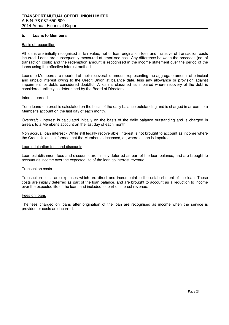#### **b. Loans to Members**

#### Basis of recognition

All loans are initially recognised at fair value, net of loan origination fees and inclusive of transaction costs incurred. Loans are subsequently measured at amortised cost. Any difference between the proceeds (net of transaction costs) and the redemption amount is recognised in the income statement over the period of the loans using the effective interest method.

Loans to Members are reported at their recoverable amount representing the aggregate amount of principal and unpaid interest owing to the Credit Union at balance date, less any allowance or provision against impairment for debts considered doubtful. A loan is classified as impaired where recovery of the debt is considered unlikely as determined by the Board of Directors.

#### Interest earned

Term loans **-** Interest is calculated on the basis of the daily balance outstanding and is charged in arrears to a Member's account on the last day of each month.

Overdraft - Interest is calculated initially on the basis of the daily balance outstanding and is charged in arrears to a Member's account on the last day of each month.

Non accrual loan interest - While still legally recoverable, interest is not brought to account as income where the Credit Union is informed that the Member is deceased, or, where a loan is impaired.

#### Loan origination fees and discounts

Loan establishment fees and discounts are initially deferred as part of the loan balance, and are brought to account as income over the expected life of the loan as interest revenue.

#### Transaction costs

Transaction costs are expenses which are direct and incremental to the establishment of the loan. These costs are initially deferred as part of the loan balance, and are brought to account as a reduction to income over the expected life of the loan, and included as part of interest revenue.

#### Fees on loans

The fees charged on loans after origination of the loan are recognised as income when the service is provided or costs are incurred.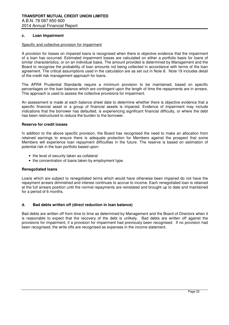#### **c. Loan Impairment**

#### Specific and collective provision for impairment

A provision for losses on impaired loans is recognised when there is objective evidence that the impairment of a loan has occurred. Estimated impairment losses are calculated on either a portfolio basis for loans of similar characteristics, or on an individual basis. The amount provided is determined by Management and the Board to recognise the probability of loan amounts not being collected in accordance with terms of the loan agreement. The critical assumptions used in the calculation are as set out in Note 8. Note 19 includes detail of the credit risk management approach for loans.

The APRA Prudential Standards require a minimum provision to be maintained, based on specific percentages on the loan balance which are contingent upon the length of time the repayments are in arrears. This approach is used to assess the collective provisions for impairment.

An assessment is made at each balance sheet date to determine whether there is objective evidence that a specific financial asset or a group of financial assets is impaired. Evidence of impairment may include indications that the borrower has defaulted, is experiencing significant financial difficulty, or where the debt has been restructured to reduce the burden to the borrower.

#### **Reserve for credit losses**

In addition to the above specific provision, the Board has recognised the need to make an allocation from retained earnings to ensure there is adequate protection for Members against the prospect that some Members will experience loan repayment difficulties in the future. The reserve is based on estimation of potential risk in the loan portfolio based upon:

- the level of security taken as collateral
- the concentration of loans taken by employment type.

#### **Renegotiated loans**

Loans which are subject to renegotiated terms which would have otherwise been impaired do not have the repayment arrears diminished and interest continues to accrue to income. Each renegotiated loan is retained at the full arrears position until the normal repayments are reinstated and brought up to date and maintained for a period of 6 months.

#### **d. Bad debts written off (direct reduction in loan balance)**

Bad debts are written off from time to time as determined by Management and the Board of Directors when it is reasonable to expect that the recovery of the debt is unlikely. Bad debts are written off against the provisions for impairment, if a provision for impairment had previously been recognised. If no provision had been recognised, the write offs are recognised as expenses in the income statement.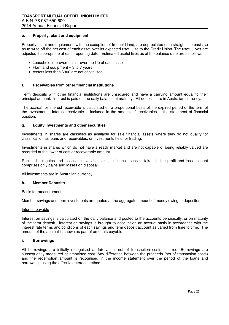#### **e. Property, plant and equipment**

Property, plant and equipment, with the exception of freehold land, are depreciated on a straight line basis so as to write off the net cost of each asset over its expected useful life to the Credit Union. The useful lives are adjusted if appropriate at each reporting date. Estimated useful lives as at the balance date are as follows:

- Leasehold improvements over the life of each asset
- Plant and equipment 3 to 7 years
- Assets less than \$300 are not capitalised.

#### **f. Receivables from other financial institutions**

Term deposits with other financial institutions are unsecured and have a carrying amount equal to their principal amount. Interest is paid on the daily balance at maturity. All deposits are in Australian currency.

The accrual for interest receivable is calculated on a proportional basis of the expired period of the term of the investment. Interest receivable is included in the amount of receivables in the statement of financial position.

#### **g. Equity investments and other securities**

Investments in shares are classified as available for sale financial assets where they do not qualify for classification as loans and receivables, or investments held for trading.

Investments in shares which do not have a ready market and are not capable of being reliably valued are recorded at the lower of cost or recoverable amount.

Realised net gains and losses on available for sale financial assets taken to the profit and loss account comprises only gains and losses on disposal.

All investments are in Australian currency.

#### **h. Member Deposits**

#### Basis for measurement

Member savings and term investments are quoted at the aggregate amount of money owing to depositors.

#### Interest payable

Interest on savings is calculated on the daily balance and posted to the accounts periodically, or on maturity of the term deposit. Interest on savings is brought to account on an accrual basis in accordance with the interest rate terms and conditions of each savings and term deposit account as varied from time to time. The amount of the accrual is shown as part of amounts payable.

#### **i. Borrowings**

All borrowings are initially recognised at fair value, net of transaction costs incurred. Borrowings are subsequently measured at amortised cost. Any difference between the proceeds (net of transaction costs) and the redemption amount is recognised in the income statement over the period of the loans and borrowings using the effective interest method.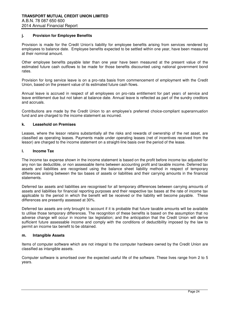#### **j. Provision for Employee Benefits**

Provision is made for the Credit Union's liability for employee benefits arising from services rendered by employees to balance date. Employee benefits expected to be settled within one year, have been measured at their nominal amount.

Other employee benefits payable later than one year have been measured at the present value of the estimated future cash outflows to be made for those benefits discounted using national government bond rates.

Provision for long service leave is on a pro-rata basis from commencement of employment with the Credit Union, based on the present value of its estimated future cash flows.

Annual leave is accrued in respect of all employees on pro-rata entitlement for part years of service and leave entitlement due but not taken at balance date. Annual leave is reflected as part of the sundry creditors and accruals.

Contributions are made by the Credit Union to an employee's preferred choice-compliant superannuation fund and are charged to the income statement as incurred.

#### **k. Leasehold on Premises**

Leases, where the lessor retains substantially all the risks and rewards of ownership of the net asset, are classified as operating leases. Payments made under operating leases (net of incentives received from the lessor) are charged to the income statement on a straight-line basis over the period of the lease.

#### **l. Income Tax**

The income tax expense shown in the income statement is based on the profit before income tax adjusted for any non tax deductible, or non assessable items between accounting profit and taxable income. Deferred tax assets and liabilities are recognised using the balance sheet liability method in respect of temporary differences arising between the tax bases of assets or liabilities and their carrying amounts in the financial statements.

Deferred tax assets and liabilities are recognised for all temporary differences between carrying amounts of assets and liabilities for financial reporting purposes and their respective tax bases at the rate of income tax applicable to the period in which the benefit will be received or the liability will become payable. These differences are presently assessed at 30%.

Deferred tax assets are only brought to account if it is probable that future taxable amounts will be available to utilise those temporary differences. The recognition of these benefits is based on the assumption that no adverse change will occur in income tax legislation; and the anticipation that the Credit Union will derive sufficient future assessable income and comply with the conditions of deductibility imposed by the law to permit an income tax benefit to be obtained.

#### **m. Intangible Assets**

Items of computer software which are not integral to the computer hardware owned by the Credit Union are classified as intangible assets.

Computer software is amortised over the expected useful life of the software. These lives range from 2 to 5 years.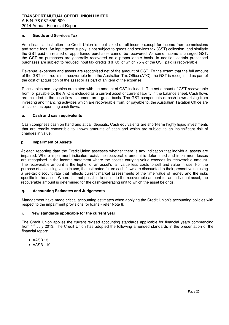#### **n. Goods and Services Tax**

As a financial institution the Credit Union is input taxed on all income except for income from commissions and some fees. An input taxed supply is not subject to goods and services tax (GST) collection, and similarly the GST paid on related or apportioned purchases cannot be recovered. As some income is charged GST, the GST on purchases are generally recovered on a proportionate basis. In addition certain prescribed purchases are subject to reduced input tax credits (RITC), of which 75% of the GST paid is recoverable.

Revenue, expenses and assets are recognised net of the amount of GST. To the extent that the full amount of the GST incurred is not recoverable from the Australian Tax Office (ATO), the GST is recognised as part of the cost of acquisition of the asset or as part of an item of the expense.

Receivables and payables are stated with the amount of GST included. The net amount of GST recoverable from, or payable to, the ATO is included as a current asset or current liability in the balance sheet. Cash flows are included in the cash flow statement on a gross basis. The GST components of cash flows arising from investing and financing activities which are recoverable from, or payable to, the Australian Taxation Office are classified as operating cash flows.

#### **o. Cash and cash equivalents**

Cash comprises cash on hand and at call deposits. Cash equivalents are short-term highly liquid investments that are readily convertible to known amounts of cash and which are subject to an insignificant risk of changes in value.

#### **p. Impairment of Assets**

At each reporting date the Credit Union assesses whether there is any indication that individual assets are impaired. Where impairment indicators exist, the recoverable amount is determined and impairment losses are recognised in the income statement where the asset's carrying value exceeds its recoverable amount. The recoverable amount is the higher of an asset's fair value less costs to sell and value in use. For the purpose of assessing value in use, the estimated future cash flows are discounted to their present value using a pre-tax discount rate that reflects current market assessments of the time value of money and the risks specific to the asset. Where it is not possible to estimate the recoverable amount for an individual asset, the recoverable amount is determined for the cash-generating unit to which the asset belongs.

#### **q. Accounting Estimates and Judgements**

Management have made critical accounting estimates when applying the Credit Union's accounting policies with respect to the impairment provisions for loans - refer Note 8.

#### **r. New standards applicable for the current year**

The Credit Union applies the current revised accounting standards applicable for financial years commencing from 1<sup>st</sup> July 2013. The Credit Union has adopted the following amended standards in the presentation of the financial report:

- AASB 13
- AASB 119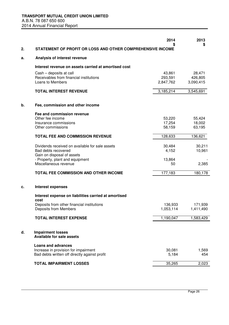| 2. | STATEMENT OF PROFIT OR LOSS AND OTHER COMPREHENSIVE INCOME         | 2014              | 2013<br>\$        |
|----|--------------------------------------------------------------------|-------------------|-------------------|
| а. | Analysis of interest revenue                                       |                   |                   |
|    |                                                                    |                   |                   |
|    | Interest revenue on assets carried at amortised cost               |                   |                   |
|    | Cash - deposits at call<br>Receivables from financial institutions | 43,861<br>293,591 | 28,471<br>426,805 |
|    | Loans to Members                                                   | 2,847,762         | 3,090,415         |
|    | <b>TOTAL INTEREST REVENUE</b>                                      | 3,185,214         | 3,545,691         |
| b. | Fee, commission and other income                                   |                   |                   |
|    | Fee and commission revenue                                         |                   |                   |
|    | Other fee income                                                   | 53,220            | 55,424            |
|    | Insurance commissions<br>Other commissions                         | 17,254<br>58,159  | 18,002<br>63,195  |
|    |                                                                    |                   |                   |
|    | <b>TOTAL FEE AND COMMISSION REVENUE</b>                            | 128,633           | 136,621           |
|    | Dividends received on available for sale assets                    | 30,484            | 30,211            |
|    | Bad debts recovered                                                | 4,152             | 10,961            |
|    | Gain on disposal of assets<br>- Property, plant and equipment      | 13,864            |                   |
|    | Miscellaneous revenue                                              | 50                | 2,385             |
|    | TOTAL FEE COMMISSION AND OTHER INCOME                              | 177,183           | 180,178           |
| c. | <b>Interest expenses</b>                                           |                   |                   |
|    | Interest expense on liabilities carried at amortised<br>cost       |                   |                   |
|    | Deposits from other financial institutions                         | 136,933           | 171,939           |
|    | Deposits from Members                                              | 1,053,114         | 1,411,490         |
|    | <b>TOTAL INTEREST EXPENSE</b>                                      | 1,190,047         | 1,583,429         |
| d. | <b>Impairment losses</b><br><b>Available for sale assets</b>       |                   |                   |
|    | <b>Loans and advances</b>                                          |                   |                   |
|    | Increase in provision for impairment                               | 30,081            | 1,569             |
|    | Bad debts written off directly against profit                      | 5,184             | 454               |
|    | <b>TOTAL IMPAIRMENT LOSSES</b>                                     | 35,265            | 2,023             |
|    |                                                                    |                   |                   |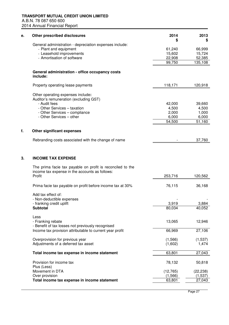| General administration - depreciation expenses include:<br>- Plant and equipment<br>61,240<br>66,999<br>- Leasehold improvements<br>15,602<br>15,724<br>- Amortisation of software<br>22,908<br>52,385<br>99,750<br>135,108<br>General administration - office occupancy costs<br>include:<br>118,171<br>120,918<br>Property operating lease payments<br>Other operating expenses include:<br>Auditor's remuneration (excluding GST)<br>- Audit fees<br>42,000<br>39,660<br>- Other Services - taxation<br>4,500<br>4,500<br>- Other Services - compliance<br>2,000<br>1,000<br>6,000<br>- Other Services - other<br>6,000<br>54,500<br>51,160<br><b>Other significant expenses</b><br>f.<br>Rebranding costs associated with the change of name<br>37,760<br><b>INCOME TAX EXPENSE</b><br>3.<br>The prima facie tax payable on profit is reconciled to the<br>income tax expense in the accounts as follows:<br>Profit<br>253,716<br>120,562<br>76,115<br>Prima facie tax payable on profit before income tax at 30%<br>36,168<br>Add tax effect of:<br>- Non-deductible expenses<br>- franking credit uplift<br>3,919<br>3,884<br><b>Subtotal</b><br>80,034<br>40,052<br>Less<br>12,946<br>- Franking rebate<br>13,065<br>- Benefit of tax losses not previously recognised<br>27,106<br>Income tax provision attributable to current year profit<br>66,969<br>Overprovision for previous year<br>(1, 537)<br>(1,566)<br>Adjustments of a deferred tax asset<br>(1,602)<br>1,474<br>Total income tax expense in income statement<br>63,801<br>27,043<br>Provision for income tax<br>78,132<br>50,818<br>Plus (Less)<br>Movement in DTA<br>(12, 765)<br>(22, 238)<br>Over provision<br>(1, 566)<br>(1, 537)<br>Total income tax expense in income statement<br>27,043<br>63,801 | е. | Other prescribed disclosures | 2014 | 2013<br>S |
|----------------------------------------------------------------------------------------------------------------------------------------------------------------------------------------------------------------------------------------------------------------------------------------------------------------------------------------------------------------------------------------------------------------------------------------------------------------------------------------------------------------------------------------------------------------------------------------------------------------------------------------------------------------------------------------------------------------------------------------------------------------------------------------------------------------------------------------------------------------------------------------------------------------------------------------------------------------------------------------------------------------------------------------------------------------------------------------------------------------------------------------------------------------------------------------------------------------------------------------------------------------------------------------------------------------------------------------------------------------------------------------------------------------------------------------------------------------------------------------------------------------------------------------------------------------------------------------------------------------------------------------------------------------------------------------------------------------------------------------------------------------------------------|----|------------------------------|------|-----------|
|                                                                                                                                                                                                                                                                                                                                                                                                                                                                                                                                                                                                                                                                                                                                                                                                                                                                                                                                                                                                                                                                                                                                                                                                                                                                                                                                                                                                                                                                                                                                                                                                                                                                                                                                                                                  |    |                              |      |           |
|                                                                                                                                                                                                                                                                                                                                                                                                                                                                                                                                                                                                                                                                                                                                                                                                                                                                                                                                                                                                                                                                                                                                                                                                                                                                                                                                                                                                                                                                                                                                                                                                                                                                                                                                                                                  |    |                              |      |           |
|                                                                                                                                                                                                                                                                                                                                                                                                                                                                                                                                                                                                                                                                                                                                                                                                                                                                                                                                                                                                                                                                                                                                                                                                                                                                                                                                                                                                                                                                                                                                                                                                                                                                                                                                                                                  |    |                              |      |           |
|                                                                                                                                                                                                                                                                                                                                                                                                                                                                                                                                                                                                                                                                                                                                                                                                                                                                                                                                                                                                                                                                                                                                                                                                                                                                                                                                                                                                                                                                                                                                                                                                                                                                                                                                                                                  |    |                              |      |           |
|                                                                                                                                                                                                                                                                                                                                                                                                                                                                                                                                                                                                                                                                                                                                                                                                                                                                                                                                                                                                                                                                                                                                                                                                                                                                                                                                                                                                                                                                                                                                                                                                                                                                                                                                                                                  |    |                              |      |           |
|                                                                                                                                                                                                                                                                                                                                                                                                                                                                                                                                                                                                                                                                                                                                                                                                                                                                                                                                                                                                                                                                                                                                                                                                                                                                                                                                                                                                                                                                                                                                                                                                                                                                                                                                                                                  |    |                              |      |           |
|                                                                                                                                                                                                                                                                                                                                                                                                                                                                                                                                                                                                                                                                                                                                                                                                                                                                                                                                                                                                                                                                                                                                                                                                                                                                                                                                                                                                                                                                                                                                                                                                                                                                                                                                                                                  |    |                              |      |           |
|                                                                                                                                                                                                                                                                                                                                                                                                                                                                                                                                                                                                                                                                                                                                                                                                                                                                                                                                                                                                                                                                                                                                                                                                                                                                                                                                                                                                                                                                                                                                                                                                                                                                                                                                                                                  |    |                              |      |           |
|                                                                                                                                                                                                                                                                                                                                                                                                                                                                                                                                                                                                                                                                                                                                                                                                                                                                                                                                                                                                                                                                                                                                                                                                                                                                                                                                                                                                                                                                                                                                                                                                                                                                                                                                                                                  |    |                              |      |           |
|                                                                                                                                                                                                                                                                                                                                                                                                                                                                                                                                                                                                                                                                                                                                                                                                                                                                                                                                                                                                                                                                                                                                                                                                                                                                                                                                                                                                                                                                                                                                                                                                                                                                                                                                                                                  |    |                              |      |           |
|                                                                                                                                                                                                                                                                                                                                                                                                                                                                                                                                                                                                                                                                                                                                                                                                                                                                                                                                                                                                                                                                                                                                                                                                                                                                                                                                                                                                                                                                                                                                                                                                                                                                                                                                                                                  |    |                              |      |           |
|                                                                                                                                                                                                                                                                                                                                                                                                                                                                                                                                                                                                                                                                                                                                                                                                                                                                                                                                                                                                                                                                                                                                                                                                                                                                                                                                                                                                                                                                                                                                                                                                                                                                                                                                                                                  |    |                              |      |           |
|                                                                                                                                                                                                                                                                                                                                                                                                                                                                                                                                                                                                                                                                                                                                                                                                                                                                                                                                                                                                                                                                                                                                                                                                                                                                                                                                                                                                                                                                                                                                                                                                                                                                                                                                                                                  |    |                              |      |           |
|                                                                                                                                                                                                                                                                                                                                                                                                                                                                                                                                                                                                                                                                                                                                                                                                                                                                                                                                                                                                                                                                                                                                                                                                                                                                                                                                                                                                                                                                                                                                                                                                                                                                                                                                                                                  |    |                              |      |           |
|                                                                                                                                                                                                                                                                                                                                                                                                                                                                                                                                                                                                                                                                                                                                                                                                                                                                                                                                                                                                                                                                                                                                                                                                                                                                                                                                                                                                                                                                                                                                                                                                                                                                                                                                                                                  |    |                              |      |           |
|                                                                                                                                                                                                                                                                                                                                                                                                                                                                                                                                                                                                                                                                                                                                                                                                                                                                                                                                                                                                                                                                                                                                                                                                                                                                                                                                                                                                                                                                                                                                                                                                                                                                                                                                                                                  |    |                              |      |           |
|                                                                                                                                                                                                                                                                                                                                                                                                                                                                                                                                                                                                                                                                                                                                                                                                                                                                                                                                                                                                                                                                                                                                                                                                                                                                                                                                                                                                                                                                                                                                                                                                                                                                                                                                                                                  |    |                              |      |           |
|                                                                                                                                                                                                                                                                                                                                                                                                                                                                                                                                                                                                                                                                                                                                                                                                                                                                                                                                                                                                                                                                                                                                                                                                                                                                                                                                                                                                                                                                                                                                                                                                                                                                                                                                                                                  |    |                              |      |           |
|                                                                                                                                                                                                                                                                                                                                                                                                                                                                                                                                                                                                                                                                                                                                                                                                                                                                                                                                                                                                                                                                                                                                                                                                                                                                                                                                                                                                                                                                                                                                                                                                                                                                                                                                                                                  |    |                              |      |           |
|                                                                                                                                                                                                                                                                                                                                                                                                                                                                                                                                                                                                                                                                                                                                                                                                                                                                                                                                                                                                                                                                                                                                                                                                                                                                                                                                                                                                                                                                                                                                                                                                                                                                                                                                                                                  |    |                              |      |           |
|                                                                                                                                                                                                                                                                                                                                                                                                                                                                                                                                                                                                                                                                                                                                                                                                                                                                                                                                                                                                                                                                                                                                                                                                                                                                                                                                                                                                                                                                                                                                                                                                                                                                                                                                                                                  |    |                              |      |           |
|                                                                                                                                                                                                                                                                                                                                                                                                                                                                                                                                                                                                                                                                                                                                                                                                                                                                                                                                                                                                                                                                                                                                                                                                                                                                                                                                                                                                                                                                                                                                                                                                                                                                                                                                                                                  |    |                              |      |           |
|                                                                                                                                                                                                                                                                                                                                                                                                                                                                                                                                                                                                                                                                                                                                                                                                                                                                                                                                                                                                                                                                                                                                                                                                                                                                                                                                                                                                                                                                                                                                                                                                                                                                                                                                                                                  |    |                              |      |           |
|                                                                                                                                                                                                                                                                                                                                                                                                                                                                                                                                                                                                                                                                                                                                                                                                                                                                                                                                                                                                                                                                                                                                                                                                                                                                                                                                                                                                                                                                                                                                                                                                                                                                                                                                                                                  |    |                              |      |           |
|                                                                                                                                                                                                                                                                                                                                                                                                                                                                                                                                                                                                                                                                                                                                                                                                                                                                                                                                                                                                                                                                                                                                                                                                                                                                                                                                                                                                                                                                                                                                                                                                                                                                                                                                                                                  |    |                              |      |           |
|                                                                                                                                                                                                                                                                                                                                                                                                                                                                                                                                                                                                                                                                                                                                                                                                                                                                                                                                                                                                                                                                                                                                                                                                                                                                                                                                                                                                                                                                                                                                                                                                                                                                                                                                                                                  |    |                              |      |           |
|                                                                                                                                                                                                                                                                                                                                                                                                                                                                                                                                                                                                                                                                                                                                                                                                                                                                                                                                                                                                                                                                                                                                                                                                                                                                                                                                                                                                                                                                                                                                                                                                                                                                                                                                                                                  |    |                              |      |           |
|                                                                                                                                                                                                                                                                                                                                                                                                                                                                                                                                                                                                                                                                                                                                                                                                                                                                                                                                                                                                                                                                                                                                                                                                                                                                                                                                                                                                                                                                                                                                                                                                                                                                                                                                                                                  |    |                              |      |           |
|                                                                                                                                                                                                                                                                                                                                                                                                                                                                                                                                                                                                                                                                                                                                                                                                                                                                                                                                                                                                                                                                                                                                                                                                                                                                                                                                                                                                                                                                                                                                                                                                                                                                                                                                                                                  |    |                              |      |           |
|                                                                                                                                                                                                                                                                                                                                                                                                                                                                                                                                                                                                                                                                                                                                                                                                                                                                                                                                                                                                                                                                                                                                                                                                                                                                                                                                                                                                                                                                                                                                                                                                                                                                                                                                                                                  |    |                              |      |           |
|                                                                                                                                                                                                                                                                                                                                                                                                                                                                                                                                                                                                                                                                                                                                                                                                                                                                                                                                                                                                                                                                                                                                                                                                                                                                                                                                                                                                                                                                                                                                                                                                                                                                                                                                                                                  |    |                              |      |           |
|                                                                                                                                                                                                                                                                                                                                                                                                                                                                                                                                                                                                                                                                                                                                                                                                                                                                                                                                                                                                                                                                                                                                                                                                                                                                                                                                                                                                                                                                                                                                                                                                                                                                                                                                                                                  |    |                              |      |           |
|                                                                                                                                                                                                                                                                                                                                                                                                                                                                                                                                                                                                                                                                                                                                                                                                                                                                                                                                                                                                                                                                                                                                                                                                                                                                                                                                                                                                                                                                                                                                                                                                                                                                                                                                                                                  |    |                              |      |           |
|                                                                                                                                                                                                                                                                                                                                                                                                                                                                                                                                                                                                                                                                                                                                                                                                                                                                                                                                                                                                                                                                                                                                                                                                                                                                                                                                                                                                                                                                                                                                                                                                                                                                                                                                                                                  |    |                              |      |           |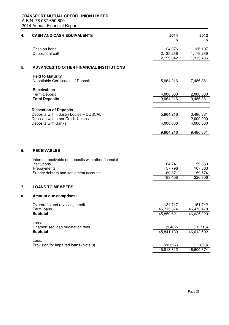| 4. | <b>CASH AND CASH EQUIVALENTS</b>                                                                                                                    | 2014<br>\$                            | 2013<br>\$                             |
|----|-----------------------------------------------------------------------------------------------------------------------------------------------------|---------------------------------------|----------------------------------------|
|    | Cash on hand                                                                                                                                        | 24,376                                | 136,197                                |
|    | Deposits at call                                                                                                                                    | 2,135,266                             | 1,179,289                              |
|    |                                                                                                                                                     | 2,159,642                             | 1,315,486                              |
| 5. | ADVANCES TO OTHER FINANCIAL INSTITUTIONS                                                                                                            |                                       |                                        |
|    | <b>Held to Maturity</b><br>Negotiable Certificates of Deposit                                                                                       | 5,964,216                             | 7,486,381                              |
|    | <b>Receivables</b>                                                                                                                                  |                                       |                                        |
|    | <b>Term Deposit</b><br><b>Total Deposits</b>                                                                                                        | 4,000,000<br>9,964,216                | 2,000,000<br>9,486,381                 |
|    |                                                                                                                                                     |                                       |                                        |
|    | <b>Dissection of Deposits</b><br>Deposits with industry bodies - CUSCAL                                                                             | 5,964,216                             | 3,486,381                              |
|    | Deposits with other Credit Unions<br>Deposits with Banks                                                                                            | 4,000,000                             | 2,000,000<br>4,000,000                 |
|    |                                                                                                                                                     | 9,964,216                             | 9,486,381                              |
| 6. | <b>RECEIVABLES</b><br>Interest receivable on deposits with other financial<br>institutions<br>Prepayments<br>Sundry debtors and settlement accounts | 64,741<br>57,796<br>60,871<br>183,408 | 59,369<br>107,363<br>59,574<br>226,306 |
| 7. | <b>LOANS TO MEMBERS</b>                                                                                                                             |                                       |                                        |
| а. | <b>Amount due comprises:</b>                                                                                                                        |                                       |                                        |
|    | Overdrafts and revolving credit<br>Term loans                                                                                                       | 134,747<br>45,715,874                 | 151,742<br>46,473,478                  |
|    | <b>Subtotal</b>                                                                                                                                     | 45,850,621                            | 46,625,220                             |
|    | Less:<br>Unamortised loan origination fees                                                                                                          | (9, 482)                              | (12, 718)                              |
|    | Subtotal                                                                                                                                            | 45,841,139                            | 46,612,502                             |
|    | Less:<br>Provision for impaired loans (Note 8)                                                                                                      | (22, 327)                             | (11, 828)                              |
|    |                                                                                                                                                     | 45,818,812                            | 46,600,674                             |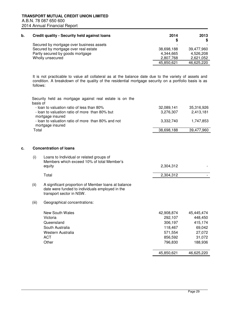| b. | <b>Credit quality - Security held against loans</b> | 2014       | 2013<br>S. |
|----|-----------------------------------------------------|------------|------------|
|    | Secured by mortgage over business assets            |            |            |
|    | Secured by mortgage over real estate                | 38,698,188 | 39.477.960 |
|    | Partly secured by goods mortgage                    | 4.344.665  | 4.526.208  |
|    | Wholly unsecured                                    | 2,807,768  | 2,621,052  |
|    |                                                     | 45,850,621 | 46,625,220 |

It is not practicable to value all collateral as at the balance date due to the variety of assets and condition. A breakdown of the quality of the residential mortgage security on a portfolio basis is as follows:

|    | basis of | Security held as mortgage against real estate is on the                                                                            |            |            |
|----|----------|------------------------------------------------------------------------------------------------------------------------------------|------------|------------|
|    |          | - loan to valuation ratio of less than 80%                                                                                         | 32,089,141 | 35,316,926 |
|    |          | - loan to valuation ratio of more than 80% but                                                                                     | 3,276,307  | 2,413,181  |
|    |          | mortgage insured<br>- loan to valuation ratio of more than 80% and not<br>mortgage insured                                         | 3,332,740  | 1,747,853  |
|    | Total    |                                                                                                                                    | 38,698,188 | 39,477,960 |
|    |          |                                                                                                                                    |            |            |
| c. |          | <b>Concentration of loans</b>                                                                                                      |            |            |
|    | (i)      | Loans to Individual or related groups of                                                                                           |            |            |
|    |          | Members which exceed 10% of total Member's<br>equity                                                                               | 2,304,312  |            |
|    |          | Total                                                                                                                              | 2,304,312  |            |
|    | (ii)     | A significant proportion of Member Ioans at balance<br>date were funded to individuals employed in the<br>transport sector in NSW. |            |            |
|    | (iii)    | Geographical concentrations:                                                                                                       |            |            |
|    |          | <b>New South Wales</b>                                                                                                             | 42,908,874 | 45,445,474 |
|    |          | Victoria                                                                                                                           | 292,107    | 448,450    |
|    |          | Queensland                                                                                                                         | 306,197    | 415,174    |
|    |          | South Australia                                                                                                                    | 118,467    | 69,042     |
|    |          | Western Australia                                                                                                                  | 571,554    | 27,072     |
|    |          | <b>ACT</b>                                                                                                                         | 856,592    | 31,072     |
|    |          | Other                                                                                                                              | 796,830    | 188,936    |
|    |          |                                                                                                                                    | 45,850,621 | 46,625,220 |
|    |          |                                                                                                                                    |            |            |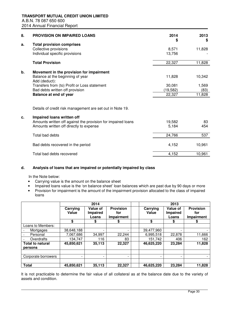| 8. | <b>PROVISION ON IMPAIRED LOANS</b>                           | 2014<br>S | 2013<br>S |
|----|--------------------------------------------------------------|-----------|-----------|
| a. | <b>Total provision comprises</b>                             |           |           |
|    | Collective provisions                                        | 8,571     | 11,828    |
|    | Individual specific provisions                               | 13,756    |           |
|    | <b>Total Provision</b>                                       | 22,327    | 11,828    |
| b. | Movement in the provision for impairment                     |           |           |
|    | Balance at the beginning of year<br>Add (deduct):            | 11,828    | 10,342    |
|    | Transfers from (to) Profit or Loss statement                 | 30,081    | 1,569     |
|    | Bad debts written off provision                              | (19, 582) | (83)      |
|    | Balance at end of year                                       | 22,327    | 11,828    |
|    |                                                              |           |           |
|    | Details of credit risk management are set out in Note 19.    |           |           |
| c. | Impaired loans written off                                   |           |           |
|    | Amounts written off against the provision for impaired loans | 19,582    | 83        |
|    | Amounts written off directly to expense                      | 5,184     | 454       |
|    | Total bad debts                                              | 24,766    | 537       |
|    | Bad debts recovered in the period                            | 4,152     | 10,961    |
|    | Total bad debts recovered                                    | 4,152     | 10,961    |

# **d. Analysis of loans that are impaired or potentially impaired by class**

In the Note below:

- Carrying value is the amount on the balance sheet
- Impaired loans value is the 'on balance sheet' loan balances which are past due by 90 days or more
- Provision for impairment is the amount of the impairment provision allocated to the class of impaired loans

|                                    |                          | 2014                          |                                       |                   | 2013                                 |                                              |
|------------------------------------|--------------------------|-------------------------------|---------------------------------------|-------------------|--------------------------------------|----------------------------------------------|
|                                    | Carrying<br><b>Value</b> | Value of<br>Impaired<br>Loans | <b>Provision</b><br>for<br>Impairment | Carrying<br>Value | Value of<br><b>Impaired</b><br>Loans | <b>Provision</b><br>for<br><b>Impairment</b> |
|                                    | \$                       | S                             | \$                                    | S                 | \$                                   |                                              |
| Loans to Members:                  |                          |                               |                                       |                   |                                      |                                              |
| Mortgages                          | 38.648.188               |                               | $\overline{\phantom{0}}$              | 39,477,960        |                                      |                                              |
| Personal                           | 7,067,686                | 34,997                        | 22,244                                | 6,995,518         | 22,878                               | 11,666                                       |
| Overdrafts                         | 134,747                  | 116                           | 83                                    | 151,742           | 406                                  | 162                                          |
| <b>Total to natural</b><br>persons | 45,850,621               | 35,113                        | 22,327                                | 46,625,220        | 23,284                               | 11,828                                       |
|                                    |                          |                               |                                       |                   |                                      |                                              |
| Corporate borrowers                | -                        | -                             | $\overline{\phantom{0}}$              |                   |                                      |                                              |
| <b>Total</b>                       | 45,850,621               | 35,113                        | 22.327                                | 46,625,220        | 23,284                               | 11,828                                       |

It is not practicable to determine the fair value of all collateral as at the balance date due to the variety of assets and condition.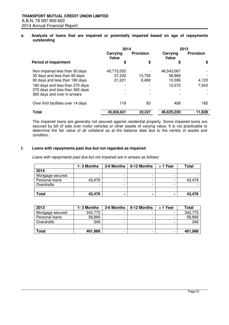## **e. Analysis of loans that are impaired or potentially impaired based on age of repayments outstanding**

|                                    | 2014                     |                  |                   | 2013             |
|------------------------------------|--------------------------|------------------|-------------------|------------------|
|                                    | Carrying<br>Value        | <b>Provision</b> | Carrying<br>Value | <b>Provision</b> |
| <b>Period of impairment</b>        | \$                       | \$               | \$                | \$               |
| Non impaired less than 30 days     | 45,772,052               |                  | 46.543.067        |                  |
| 30 days and less than 90 days      | 57,232                   | 13.756           | 58.869            |                  |
| 90 days and less than 180 days     | 21,221                   | 8,488            | 10,306            | 4,123            |
| 180 days and less than 270 days    | $\overline{\phantom{0}}$ |                  | 12,572            | 7,543            |
| 270 days and less than 365 days    |                          |                  |                   |                  |
| 365 days and over in arrears       |                          |                  |                   |                  |
| Over limit facilities over 14 days | 116                      | 83               | 406               | 162              |
| Total                              | 45,850,621               | 22,327           | 46,625,220        | 11,828           |

The impaired loans are generally not secured against residential property. Some impaired loans are secured by bill of sale over motor vehicles or other assets of varying value. It is not practicable to determine the fair value of all collateral as at the balance date due to the variety of assets and condition.

#### **f. Loans with repayments past due but not regarded as impaired**

Loans with repayments past due but not impaired are in arrears as follows:

|                  | 1-3 Months | 3-6 Months     | 6-12 Months | > 1 Year | Total  |
|------------------|------------|----------------|-------------|----------|--------|
| 2014             |            |                |             |          |        |
| Mortgage secured |            |                |             |          |        |
| Personal loans   | 43,476     |                |             |          | 43,476 |
| Overdrafts       |            |                |             |          |        |
|                  |            |                |             |          |        |
| Total            | 43,476     | $\blacksquare$ | -           |          | 43,476 |

| 2013             | 1-3 Months | 3-6 Months               | 6-12 Months | > 1 Year | <b>Total</b> |
|------------------|------------|--------------------------|-------------|----------|--------------|
| Mortgage secured | 342,770    |                          |             |          | 342,770      |
| Personal loans   | 58,869     | $\overline{\phantom{0}}$ |             |          | 58,869       |
| Overdrafts       | 349        | $\overline{\phantom{0}}$ | -           |          | 349          |
|                  |            |                          |             |          |              |
| <b>Total</b>     | 401,988    |                          |             | -        | 401,988      |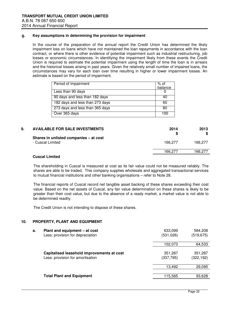#### **g. Key assumptions in determining the provision for impairment**

In the course of the preparation of the annual report the Credit Union has determined the likely impairment loss on loans which have not maintained the loan repayments in accordance with the loan contract, or where there is other evidence of potential impairment such as industrial restructuring, job losses or economic circumstances. In identifying the impairment likely from these events the Credit Union is required to estimate the potential impairment using the length of time the loan is in arrears and the historical losses arising in past years. Given the relatively small number of impaired loans, the circumstances may vary for each loan over time resulting in higher or lower impairment losses. An estimate is based on the period of impairment.

| Period of impairment            | % of<br>balance |
|---------------------------------|-----------------|
| Less than 90 days               |                 |
| 90 days and less than 182 days  | 40              |
| 182 days and less than 273 days | 60              |
| 273 days and less than 365 days | 80              |
| Over 365 days                   | 100             |

| 9. | <b>AVAILABLE FOR SALE INVESTMENTS</b>                      |         | 2014 | 2013    |
|----|------------------------------------------------------------|---------|------|---------|
|    | Shares in unlisted companies - at cost<br>- Cuscal Limited | 166.277 |      | 166.277 |
|    |                                                            | 166.277 |      | 166.277 |

#### **Cuscal Limited**

The shareholding in Cuscal is measured at cost as its fair value could not be measured reliably. The shares are able to be traded. This company supplies wholesale and aggregated transactional services to mutual financial institutions and other banking organisations – refer to Note 28.

The financial reports of Cuscal record net tangible asset backing of these shares exceeding their cost value. Based on the net assets of Cuscal, any fair value determination on these shares is likely to be greater than their cost value, but due to the absence of a ready market, a market value is not able to be determined readily.

The Credit Union is not intending to dispose of these shares.

#### **10. PROPERTY, PLANT AND EQUIPMENT**

| Plant and equipment - at cost<br>а.<br>Less: provision for depreciation        | 633,099<br>(531,026) | 584,208<br>(519, 675) |
|--------------------------------------------------------------------------------|----------------------|-----------------------|
|                                                                                | 102,073              | 64,533                |
| Capitalised leasehold improvements at cost<br>Less: provision for amortisation | 351,287<br>(337,795) | 351,287<br>(322, 192) |
|                                                                                | 13,492               | 29,095                |
| <b>Total Plant and Equipment</b>                                               | 115,565              | 93,628                |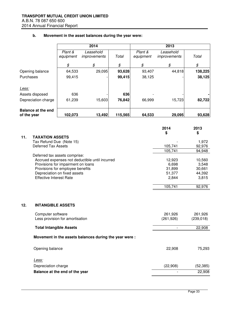|             |                                                                                                                                                     |                                                                                                        | 2014                                                   |         |                      | 2013                                                                                |                                                                                           |
|-------------|-----------------------------------------------------------------------------------------------------------------------------------------------------|--------------------------------------------------------------------------------------------------------|--------------------------------------------------------|---------|----------------------|-------------------------------------------------------------------------------------|-------------------------------------------------------------------------------------------|
|             |                                                                                                                                                     | Plant &<br>equipment                                                                                   | Leasehold<br>improvements                              | Total   | Plant &<br>equipment | Leasehold<br>improvements                                                           | Total                                                                                     |
|             |                                                                                                                                                     | $\pmb{\mathcal{S}}$                                                                                    | $\mathcal{L}$                                          | \$      | \$                   | $\boldsymbol{\mathcal{S}}$                                                          | \$                                                                                        |
|             | Opening balance                                                                                                                                     | 64,533                                                                                                 | 29,095                                                 | 93,628  | 93,407               | 44,818                                                                              | 138,225                                                                                   |
| Purchases   |                                                                                                                                                     | 99,415                                                                                                 |                                                        | 99,415  | 38,125               |                                                                                     | 38,125                                                                                    |
| Less:       |                                                                                                                                                     |                                                                                                        |                                                        |         |                      |                                                                                     |                                                                                           |
|             | Assets disposed                                                                                                                                     | 636                                                                                                    |                                                        | 636     |                      |                                                                                     |                                                                                           |
|             | Depreciation charge                                                                                                                                 | 61,239                                                                                                 | 15,603                                                 | 76,842  | 66,999               | 15,723                                                                              | 82,722                                                                                    |
| of the year | <b>Balance at the end</b>                                                                                                                           | 102,073                                                                                                | 13,492                                                 | 115,565 | 64,533               | 29,095                                                                              | 93,628                                                                                    |
|             |                                                                                                                                                     |                                                                                                        |                                                        |         |                      | 2014                                                                                | 2013                                                                                      |
| 11.         | <b>TAXATION ASSETS</b><br>Tax Refund Due (Note 15)<br><b>Deferred Tax Assets</b><br>Deferred tax assets comprise:<br><b>Effective Interest Rate</b> | Provisions for impairment on loans<br>Provisions for employee benefits<br>Depreciation on fixed assets | Accrued expenses not deductible until incurred         |         |                      | \$<br>105,741<br>105,741<br>12,923<br>6,698<br>31,899<br>51,377<br>2,844<br>105,741 | \$<br>1,972<br>92,976<br>94,948<br>10,560<br>3,548<br>30,661<br>44,392<br>3,815<br>92,976 |
| 12.         | <b>INTANGIBLE ASSETS</b>                                                                                                                            |                                                                                                        |                                                        |         |                      |                                                                                     |                                                                                           |
|             | Computer software                                                                                                                                   | Less provision for amortisation                                                                        |                                                        |         |                      | 261,926<br>(261, 926)                                                               | 261,926<br>(239, 018)                                                                     |
|             | <b>Total Intangible Assets</b>                                                                                                                      |                                                                                                        |                                                        |         |                      |                                                                                     | 22,908                                                                                    |
|             |                                                                                                                                                     |                                                                                                        | Movement in the assets balances during the year were : |         |                      |                                                                                     |                                                                                           |
|             | Opening balance                                                                                                                                     |                                                                                                        |                                                        |         |                      | 22,908                                                                              | 75,293                                                                                    |
|             | <u>Less:</u>                                                                                                                                        |                                                                                                        |                                                        |         |                      |                                                                                     |                                                                                           |
|             | Depreciation charge                                                                                                                                 |                                                                                                        |                                                        |         |                      | (22,908)                                                                            | (52, 385)                                                                                 |
|             | Balance at the end of the year                                                                                                                      |                                                                                                        |                                                        |         |                      |                                                                                     | 22,908                                                                                    |

# **b. Movement in the asset balances during the year were:**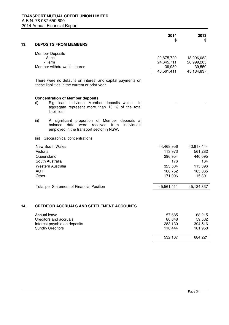|                                                                                                                                                                  |            | \$         |
|------------------------------------------------------------------------------------------------------------------------------------------------------------------|------------|------------|
| 13.<br><b>DEPOSITS FROM MEMBERS</b>                                                                                                                              |            |            |
| <b>Member Deposits</b>                                                                                                                                           |            |            |
| - At call                                                                                                                                                        | 20,875,720 | 18,096,082 |
| - Term                                                                                                                                                           | 24,645,711 | 26,999,205 |
| Member withdrawable shares                                                                                                                                       | 39,980     | 39,550     |
|                                                                                                                                                                  | 45,561,411 | 45,134,837 |
| There were no defaults on interest and capital payments on<br>these liabilities in the current or prior year.                                                    |            |            |
| <b>Concentration of Member deposits</b>                                                                                                                          |            |            |
| Significant individual Member deposits which<br>(i)<br>in<br>aggregate represent more than 10 % of the total<br>liabilities:                                     |            |            |
| A significant proportion of Member deposits at<br>(ii)<br>received<br>individuals<br>balance<br>date<br>were<br>from<br>employed in the transport sector in NSW. |            |            |
| Geographical concentrations<br>(iii)                                                                                                                             |            |            |
| <b>New South Wales</b>                                                                                                                                           | 44,468,956 | 43,817,444 |
| Victoria                                                                                                                                                         | 113,973    | 561,282    |
| Queensland                                                                                                                                                       | 296,954    | 440,095    |
| South Australia                                                                                                                                                  | 176        | 164        |
| Western Australia                                                                                                                                                | 323,504    | 115,396    |
| <b>ACT</b>                                                                                                                                                       | 186,752    | 185,065    |
| Other                                                                                                                                                            | 171,096    | 15,391     |
| <b>Total per Statement of Financial Position</b>                                                                                                                 | 45,561,411 | 45,134,837 |
|                                                                                                                                                                  |            |            |
| 14.<br><b>CREDITOR ACCRUALS AND SETTLEMENT ACCOUNTS</b>                                                                                                          |            |            |
| Annual leave                                                                                                                                                     | 57,685     | 68,215     |
| Creditors and accruals                                                                                                                                           | 80,848     | 59,532     |
| Interest payable on deposits                                                                                                                                     | 283,130    | 394,516    |
| <b>Sundry Creditors</b>                                                                                                                                          | 110,444    | 161,958    |
|                                                                                                                                                                  | 532,107    | 684,221    |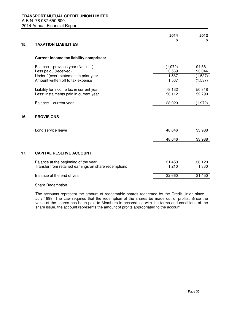| 15. | <b>TAXATION LIABILITIES</b>                                                                                                                | 2014<br>S                          | 2013<br>\$                              |
|-----|--------------------------------------------------------------------------------------------------------------------------------------------|------------------------------------|-----------------------------------------|
|     | <b>Current income tax liability comprises:</b>                                                                                             |                                    |                                         |
|     | Balance - previous year (Note 11)<br>Less paid / (received)<br>Under / (over) statement in prior year<br>Amount written off to tax expense | (1,972)<br>3,569<br>1,567<br>1,567 | 94,581<br>93,044<br>(1,537)<br>(1, 537) |
|     | Liability for income tax in current year<br>Less: Instalments paid in current year                                                         | 78,132<br>50,112                   | 50,818<br>52,790                        |
|     | Balance - current year                                                                                                                     | 28,020                             | (1,972)                                 |
| 16. | <b>PROVISIONS</b>                                                                                                                          |                                    |                                         |
|     | Long service leave                                                                                                                         | 48,646                             | 33,988                                  |
|     |                                                                                                                                            | 48,646                             | 33,988                                  |
| 17. | <b>CAPITAL RESERVE ACCOUNT</b>                                                                                                             |                                    |                                         |
|     | Balance at the beginning of the year<br>Transfer from retained earnings on share redemptions                                               | 31,450<br>1,210                    | 30,120<br>1,330                         |
|     | Balance at the end of year                                                                                                                 | 32,660                             | 31,450                                  |
|     |                                                                                                                                            |                                    |                                         |

Share Redemption

The accounts represent the amount of redeemable shares redeemed by the Credit Union since 1 July 1999. The Law requires that the redemption of the shares be made out of profits. Since the value of the shares has been paid to Members in accordance with the terms and conditions of the share issue, the account represents the amount of profits appropriated to the account.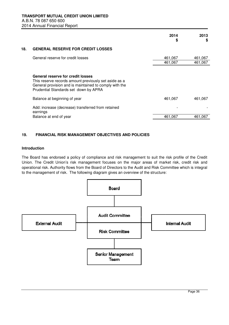|     |                                                                                                                                                                                               | 2014<br>S          | 2013<br>S          |
|-----|-----------------------------------------------------------------------------------------------------------------------------------------------------------------------------------------------|--------------------|--------------------|
| 18. | <b>GENERAL RESERVE FOR CREDIT LOSSES</b>                                                                                                                                                      |                    |                    |
|     | General reserve for credit losses                                                                                                                                                             | 461,067<br>461,067 | 461,067<br>461,067 |
|     | General reserve for credit losses<br>This reserve records amount previously set aside as a<br>General provision and is maintained to comply with the<br>Prudential Standards set down by APRA |                    |                    |
|     | Balance at beginning of year                                                                                                                                                                  | 461,067            | 461,067            |
|     | Add: increase (decrease) transferred from retained<br>earnings                                                                                                                                |                    |                    |
|     | Balance at end of year                                                                                                                                                                        | 461,067            | 461,067            |

# **19. FINANCIAL RISK MANAGEMENT OBJECTIVES AND POLICIES**

#### **Introduction**

The Board has endorsed a policy of compliance and risk management to suit the risk profile of the Credit Union. The Credit Union's risk management focuses on the major areas of market risk, credit risk and operational risk. Authority flows from the Board of Directors to the Audit and Risk Committee which is integral to the management of risk. The following diagram gives an overview of the structure: oard has endorsed a policy of compliance and risk management to suit the risk profile of t<br>The Credit Union's risk management focuses on the major areas of market risk, credit<br>ional risk. Authority flows from the Board of

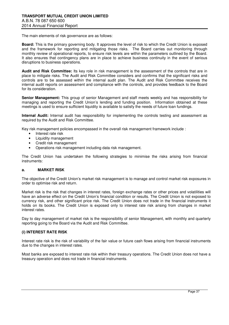The main elements of risk governance are as follows:

**Board:** This is the primary governing body. It approves the level of risk to which the Credit Union is exposed and the framework for reporting and mitigating those risks. The Board carries out monitoring through monthly review of operational reports, to ensure risk levels are within the parameters outlined by the Board. It also ensures that contingency plans are in place to achieve business continuity in the event of serious disruptions to business operations.

**Audit and Risk Committee:** Its key role in risk management is the assessment of the controls that are in place to mitigate risks. The Audit and Risk Committee considers and confirms that the significant risks and controls are to be assessed within the internal audit plan. The Audit and Risk Committee receives the internal audit reports on assessment and compliance with the controls, and provides feedback to the Board for its consideration.

**Senior Management:** This group of senior Management and staff meets weekly and has responsibility for managing and reporting the Credit Union's lending and funding position. Information obtained at these meetings is used to ensure sufficient liquidity is available to satisfy the needs of future loan fundings.

**Internal Audit:** Internal audit has responsibility for implementing the controls testing and assessment as required by the Audit and Risk Committee.

Key risk management policies encompassed in the overall risk management framework include :

- Interest rate risk
- Liquidity management
- Credit risk management
- Operations risk management including data risk management.

The Credit Union has undertaken the following strategies to minimise the risks arising from financial instruments:

#### **a. MARKET RISK**

The objective of the Credit Union's market risk management is to manage and control market risk exposures in order to optimise risk and return.

Market risk is the risk that changes in interest rates, foreign exchange rates or other prices and volatilities will have an adverse effect on the Credit Union's financial condition or results. The Credit Union is not exposed to currency risk, and other significant price risk. The Credit Union does not trade in the financial instruments it holds on its books. The Credit Union is exposed only to interest rate risk arising from changes in market interest rates.

Day to day management of market risk is the responsibility of senior Management, with monthly and quarterly reporting going to the Board via the Audit and Risk Committee.

#### **(i) INTEREST RATE RISK**

Interest rate risk is the risk of variability of the fair value or future cash flows arising from financial instruments due to the changes in interest rates.

Most banks are exposed to interest rate risk within their treasury operations. The Credit Union does not have a treasury operation and does not trade in financial instruments.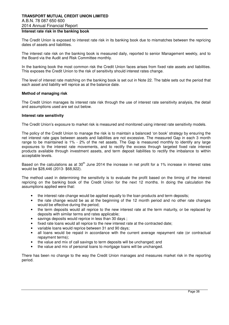# **TRANSPORT MUTUAL CREDIT UNION LIMITED**  A.B.N. 78 087 650 600 2014 Annual Financial Report

#### **Interest rate risk in the banking book**

The Credit Union is exposed to interest rate risk in its banking book due to mismatches between the repricing dates of assets and liabilities.

The interest rate risk on the banking book is measured daily, reported to senior Management weekly, and to the Board via the Audit and Risk Committee monthly.

In the banking book the most common risk the Credit Union faces arises from fixed rate assets and liabilities. This exposes the Credit Union to the risk of sensitivity should interest rates change.

The level of interest rate matching on the banking book is set out in Note 22. The table sets out the period that each asset and liability will reprice as at the balance date.

#### **Method of managing risk**

The Credit Union manages its interest rate risk through the use of interest rate sensitivity analysis, the detail and assumptions used are set out below.

#### **Interest rate sensitivity**

The Credit Union's exposure to market risk is measured and monitored using interest rate sensitivity models.

The policy of the Credit Union to manage the risk is to maintain a balanced 'on book' strategy by ensuring the net interest rate gaps between assets and liabilities are not excessive. The measured Gap in each 3 month range to be maintained is 1% - 2% of the net assets. The Gap is measured monthly to identify any large exposures to the interest rate movements, and to rectify the excess through targeted fixed rate interest products available through investment assets, and term deposit liabilities to rectify the imbalance to within acceptable levels.

Based on the calculations as at  $30<sup>th</sup>$  June 2014 the increase in net profit for a 1% increase in interest rates would be \$28,446 (2013- \$68,922).

The method used in determining the sensitivity is to evaluate the profit based on the timing of the interest repricing on the banking book of the Credit Union for the next 12 months. In doing the calculation the assumptions applied were that:

- the interest rate change would be applied equally to the loan products and term deposits;
- the rate change would be as at the beginning of the 12 month period and no other rate changes would be effective during the period;
- the term deposits would all reprice to the new interest rate at the term maturity, or be replaced by deposits with similar terms and rates applicable;
- savings deposits would reprice in less than 30 days :
- fixed rate loans would all reprice to the new interest rate at the contracted date;
- variable loans would reprice between 31 and 90 days;
- all loans would be repaid in accordance with the current average repayment rate (or contractual repayment terms);
- the value and mix of call savings to term deposits will be unchanged; and
- the value and mix of personal loans to mortgage loans will be unchanged.

There has been no change to the way the Credit Union manages and measures market risk in the reporting period.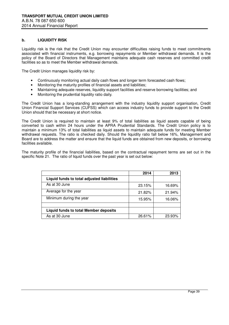#### **b. LIQUIDITY RISK**

Liquidity risk is the risk that the Credit Union may encounter difficulties raising funds to meet commitments associated with financial instruments, e.g. borrowing repayments or Member withdrawal demands. It is the policy of the Board of Directors that Management maintains adequate cash reserves and committed credit facilities so as to meet the Member withdrawal demands.

The Credit Union manages liquidity risk by:

- Continuously monitoring actual daily cash flows and longer term forecasted cash flows;
- Monitoring the maturity profiles of financial assets and liabilities;
- Maintaining adequate reserves, liquidity support facilities and reserve borrowing facilities; and
- Monitoring the prudential liquidity ratio daily.

The Credit Union has a long-standing arrangement with the industry liquidity support organisation, Credit Union Financial Support Services (CUFSS) which can access industry funds to provide support to the Credit Union should that be necessary at short notice.

The Credit Union is required to maintain at least 9% of total liabilities as liquid assets capable of being converted to cash within 24 hours under the APRA Prudential Standards. The Credit Union policy is to maintain a minimum 13% of total liabilities as liquid assets to maintain adequate funds for meeting Member withdrawal requests. The ratio is checked daily. Should the liquidity ratio fall below 16%, Management and Board are to address the matter and ensure that the liquid funds are obtained from new deposits, or borrowing facilities available.

The maturity profile of the financial liabilities, based on the contractual repayment terms are set out in the specific Note 21. The ratio of liquid funds over the past year is set out below:

|                                              | 2014   | 2013   |
|----------------------------------------------|--------|--------|
| Liquid funds to total adjusted liabilities   |        |        |
| As at 30 June                                | 23.15% | 16.69% |
| Average for the year                         | 21.82% | 21.94% |
| Minimum during the year                      | 15.95% | 16.06% |
|                                              |        |        |
| <b>Liquid funds to total Member deposits</b> |        |        |
| As at 30 June                                | 26.61% | 23.93% |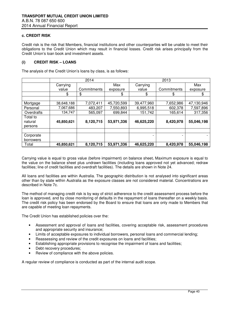#### **c. CREDIT RISK**

Credit risk is the risk that Members, financial institutions and other counterparties will be unable to meet their obligations to the Credit Union which may result in financial losses. Credit risk arises principally from the Credit Union's loan book and investment assets.

#### **(i) CREDIT RISK – LOANS**

The analysis of the Credit Union's loans by class, is as follows:

|            | 2014       |             | 2013       |            |             |            |
|------------|------------|-------------|------------|------------|-------------|------------|
|            | Carrying   |             | Max        | Carrying   |             | Max        |
|            | value      | Commitments | exposure   | value      | Commitments | exposure   |
|            | \$         | \$          | \$         | \$         | \$          | \$         |
|            |            |             |            |            |             |            |
| Mortgage   | 38,648,188 | 7,072,411   | 45,720,599 | 39,477,960 | 7,652,986   | 47,130,946 |
| Personal   | 7,067,686  | 483,207     | 7,550,893  | 6,995,518  | 602,378     | 7,597,896  |
| Overdrafts | 134,747    | 565,097     | 699,844    | 151,742    | 165,614     | 317,356    |
| Total to   |            |             |            |            |             |            |
| natural    | 45,850,621 | 8,120,715   | 53,971,336 | 46,625,220 | 8,420,978   | 55,046,198 |
| persons    |            |             |            |            |             |            |
|            |            |             |            |            |             |            |
| Corporate  |            |             |            | ٠          |             |            |
| borrowers  |            |             |            |            |             |            |
| Total      | 45,850,621 | 8,120,715   | 53,971,336 | 46,625,220 | 8,420,978   | 55,046,198 |

Carrying value is equal to gross value (before impairment) on balance sheet**.** Maximum exposure is equal to the value on the balance sheet plus undrawn facilities (including loans approved not yet advanced; redraw facilities; line of credit facilities and overdraft facilities). The details are shown in Note 24.

All loans and facilities are within Australia. The geographic distribution is not analysed into significant areas other than by state within Australia as the exposure classes are not considered material. Concentrations are described in Note 7c.

The method of managing credit risk is by way of strict adherence to the credit assessment process before the loan is approved, and by close monitoring of defaults in the repayment of loans thereafter on a weekly basis. The credit risk policy has been endorsed by the Board to ensure that loans are only made to Members that are capable of meeting loan repayments.

The Credit Union has established policies over the:

- Assessment and approval of loans and facilities, covering acceptable risk, assessment procedures and appropriate security and insurance;
- Limits of acceptable exposures to individual borrowers, personal loans and commercial lending;
- Reassessing and review of the credit exposures on loans and facilities:
- Establishing appropriate provisions to recognise the impairment of loans and facilities;
- Debt recovery procedures;
- Review of compliance with the above policies.

A regular review of compliance is conducted as part of the internal audit scope.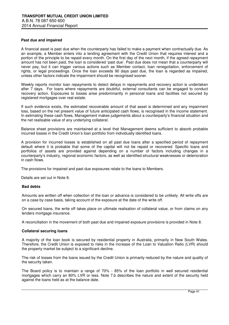#### **Past due and impaired**

A financial asset is past due when the counterparty has failed to make a payment when contractually due. As an example, a Member enters into a lending agreement with the Credit Union that requires interest and a portion of the principle to be repaid every month. On the first day of the next month, if the agreed repayment amount has not been paid, the loan is considered 'past due'. Past due does not mean that a counterparty will never pay, but it can trigger various actions such as Member contact, loan renegotiation, enforcement of rights, or legal proceedings. Once the loan exceeds 90 days past due, the loan is regarded as impaired, unless other factors indicate the impairment should be recognised sooner.

Weekly reports monitor loan repayments to detect delays in repayments and recovery action is undertaken after 7 days. For loans where repayments are doubtful, external consultants can be engaged to conduct recovery action. Exposures to losses arise predominantly in personal loans and facilities not secured by registered mortgages over real estate.

If such evidence exists, the estimated recoverable amount of that asset is determined and any impairment loss, based on the net present value of future anticipated cash flows, is recognised in the income statement. In estimating these cash flows, Management makes judgements about a counterparty's financial situation and the net realisable value of any underlying collateral.

Balance sheet provisions are maintained at a level that Management deems sufficient to absorb probable incurred losses in the Credit Union's loan portfolio from individually identified loans.

A provision for incurred losses is established on all past due loans after a specified period of repayment default where it is probable that some of the capital will not be repaid or recovered. Specific loans and portfolios of assets are provided against depending on a number of factors including changes in a counterparty's industry, regional economic factors, as well as identified structural weaknesses or deterioration in cash flows.

The provisions for impaired and past due exposures relate to the loans to Members.

Details are set out in Note 8.

#### **Bad debts**

Amounts are written off when collection of the loan or advance is considered to be unlikely. All write offs are on a case by case basis, taking account of the exposure at the date of the write off.

On secured loans, the write off takes place on ultimate realisation of collateral value, or from claims on any lenders mortgage insurance.

A reconciliation in the movement of both past due and impaired exposure provisions is provided in Note 8.

#### **Collateral securing loans**

A majority of the loan book is secured by residential property in Australia, primarily in New South Wales. Therefore, the Credit Union is exposed to risks in the increase of the Loan to Valuation Ratio (LVR) should the property market be subject to a significant decline.

The risk of losses from the loans issued by the Credit Union is primarily reduced by the nature and quality of the security taken.

The Board policy is to maintain a range of 70% - 85% of the loan portfolio in well secured residential mortgages which carry an 80% LVR or less. Note 7.b describes the nature and extent of the security held against the loans held as at the balance date.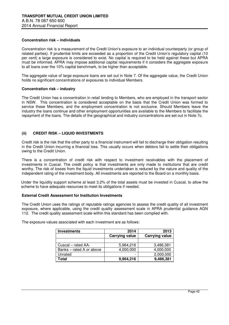#### **Concentration risk – individuals**

Concentration risk is a measurement of the Credit Union's exposure to an individual counterparty (or group of related parties). If prudential limits are exceeded as a proportion of the Credit Union's regulatory capital (10 per cent) a large exposure is considered to exist. No capital is required to be held against these but APRA must be informed. APRA may impose additional capital requirements if it considers the aggregate exposure to all loans over the 10% capital benchmark, to be higher than acceptable.

The aggregate value of large exposure loans are set out in Note 7. Of the aggregate value, the Credit Union holds no significant concentrations of exposures to individual Members.

#### **Concentration risk – industry**

The Credit Union has a concentration in retail lending to Members, who are employed in the transport sector in NSW. This concentration is considered acceptable on the basis that the Credit Union was formed to service these Members, and the employment concentration is not exclusive. Should Members leave the industry the loans continue and other employment opportunities are available to the Members to facilitate the repayment of the loans. The details of the geographical and industry concentrations are set out in Note 7c.

## **(ii) CREDIT RISK – LIQUID INVESTMENTS**

Credit risk is the risk that the other party to a financial instrument will fail to discharge their obligation resulting in the Credit Union incurring a financial loss. This usually occurs when debtors fail to settle their obligations owing to the Credit Union.

There is a concentration of credit risk with respect to investment receivables with the placement of investments in Cuscal. The credit policy is that investments are only made to institutions that are credit worthy. The risk of losses from the liquid investments undertaken is reduced by the nature and quality of the independent rating of the investment body. All investments are reported to the Board on a monthly basis.

Under the liquidity support scheme at least 3.2% of the total assets must be invested in Cuscal, to allow the scheme to have adequate resources to meet its obligations if needed.

#### **External Credit Assessment for Institution Investments**

The Credit Union uses the ratings of reputable ratings agencies to assess the credit quality of all investment exposure, where applicable, using the credit quality assessment scale in APRA prudential guidance AGN 112. The credit quality assessment scale within this standard has been complied with.

| <b>Investments</b>       | 2014                  | 2013                  |
|--------------------------|-----------------------|-----------------------|
|                          | <b>Carrying value</b> | <b>Carrying value</b> |
|                          |                       |                       |
| Cuscal - rated AA-       | 5,964,216             | 3,486,381             |
| Banks - rated A or above | 4,000,000             | 4,000,000             |
| Unrated                  |                       | 2,000,000             |
| Total                    | 9,964,216             | 9,486,381             |

The exposure values associated with each investment are as follows: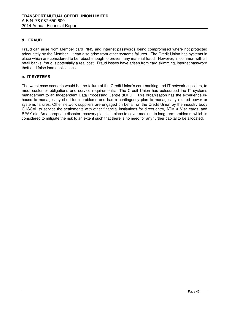#### **d. FRAUD**

Fraud can arise from Member card PINS and internet passwords being compromised where not protected adequately by the Member. It can also arise from other systems failures. The Credit Union has systems in place which are considered to be robust enough to prevent any material fraud. However, in common with all retail banks, fraud is potentially a real cost. Fraud losses have arisen from card skimming, internet password theft and false loan applications.

#### **e. IT SYSTEMS**

The worst case scenario would be the failure of the Credit Union's core banking and IT network suppliers, to meet customer obligations and service requirements. The Credit Union has outsourced the IT systems management to an Independent Data Processing Centre (IDPC). This organisation has the experience inhouse to manage any short-term problems and has a contingency plan to manage any related power or systems failures. Other network suppliers are engaged on behalf on the Credit Union by the industry body CUSCAL to service the settlements with other financial institutions for direct entry, ATM & Visa cards, and BPAY etc. An appropriate disaster recovery plan is in place to cover medium to long-term problems, which is considered to mitigate the risk to an extent such that there is no need for any further capital to be allocated.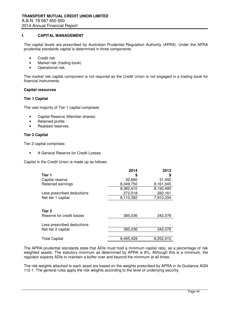#### **f. CAPITAL MANAGEMENT**

The capital levels are prescribed by Australian Prudential Regulation Authority (APRA). Under the APRA prudential standards capital is determined in three components

- Credit risk
- Market risk (trading book)
- Operational risk.

The market risk capital component is not required as the Credit Union is not engaged in a trading book for financial instruments.

#### **Capital resources**

#### **Tier 1 Capital**

The vast majority of Tier 1 capital comprises

- Capital Reserve (Member shares)
- Retained profits
- Realised reserves.

#### **Tier 2 Capital**

Tier 2 capital comprises:

• A General Reserve for Credit Losses

Capital in the Credit Union is made up as follows:

|                                     | 2014      | 2013      |
|-------------------------------------|-----------|-----------|
| Tier 1                              |           | \$        |
| Capital reserve                     | 32,660    | 31,450    |
| Retained earnings                   | 8,349,750 | 8,161,045 |
|                                     | 8,382,410 | 8,192,495 |
| Less prescribed deductions          | 272,018   | 282,161   |
| Net tier 1 capital                  | 8,110,392 | 7,910,334 |
| Tier 2<br>Reserve for credit losses | 385,036   | 342,076   |
| Less prescribed deductions          |           |           |
| Net tier 2 capital                  | 385,036   | 342,076   |
| <b>Total Capital</b>                | 8,495,428 | 8,252,410 |

The APRA prudential standards state that ADIs must hold a minimum capital ratio, as a percentage of risk weighted assets. The statutory minimum as determined by APRA is 8%. Although this is a minimum, the regulator expects ADIs to maintain a buffer over and beyond the minimum at all times.

The risk weights attached to each asset are based on the weights prescribed by APRA in its Guidance AGN 112-1. The general rules apply the risk weights according to the level of underlying security.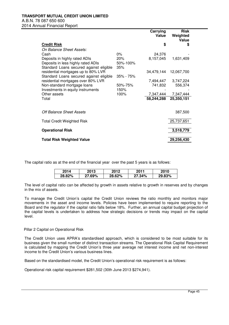|                                         |               | Carrying<br>Value | <b>Risk</b><br>Weighted<br>Value |
|-----------------------------------------|---------------|-------------------|----------------------------------|
| <b>Credit Risk</b>                      |               | \$                | \$                               |
| On Balance Sheet Assets:                |               |                   |                                  |
| Cash                                    | $0\%$         | 24,376            |                                  |
| Deposits in highly rated ADIs           | 20%           | 8,157,045         | 1,631,409                        |
| Deposits in less highly rated ADIs      | 50%-100%      |                   |                                  |
| Standard Loans secured against eligible | 35%           |                   |                                  |
| residential mortgages up to 80% LVR     |               | 34,479,144        | 12,067,700                       |
| Standard Loans secured against eligible | $35\% - 75\%$ |                   |                                  |
| residential mortgages over 80% LVR      |               | 7,494,447         | 3,747,224                        |
| Non-standard mortgage loans             | 50%-75%       | 741,832           | 556,374                          |
| Investments in equity instruments       | 150%          |                   |                                  |
| Other assets                            | 100%          | 7,347,444         | 7,347,444                        |
| Total                                   |               | 58,244,288        | 25,350,151                       |
|                                         |               |                   |                                  |
| Off Balance Sheet Assets                |               |                   | 387,500                          |
| <b>Total Credit Weighted Risk</b>       |               |                   | 25,737,651                       |
| <b>Operational Risk</b>                 |               |                   | 3,518,779                        |
| <b>Total Risk Weighted Value</b>        |               |                   | 29,256,430                       |

The capital ratio as at the end of the financial year over the past 5 years is as follows:

| 2014   | 2013   | 2012   | 2011   | 2010   |
|--------|--------|--------|--------|--------|
| 28.82% | 27.69% | 28.62% | 27.34% | 29.83% |

The level of capital ratio can be affected by growth in assets relative to growth in reserves and by changes in the mix of assets.

To manage the Credit Union's capital the Credit Union reviews the ratio monthly and monitors major movements in the asset and income levels. Policies have been implemented to require reporting to the Board and the regulator if the capital ratio falls below 18%. Further, an annual capital budget projection of the capital levels is undertaken to address how strategic decisions or trends may impact on the capital level.

#### Pillar 2 Capital on Operational Risk

The Credit Union uses APRA's standardised approach, which is considered to be most suitable for its business given the small number of distinct transaction streams. The Operational Risk Capital Requirement is calculated by mapping the Credit Union's three year average net interest income and net non-interest income to the Credit Union's various business lines.

Based on the standardised model, the Credit Union's operational risk requirement is as follows:

Operational risk capital requirement \$281,502 (30th June 2013 \$274,941).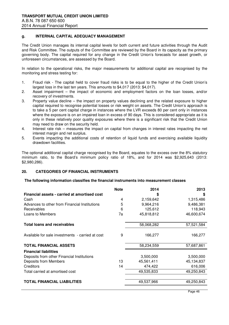## **g. INTERNAL CAPITAL ADEQUACY MANAGEMENT**

The Credit Union manages its internal capital levels for both current and future activities through the Audit and Risk Committee. The outputs of the Committee are reviewed by the Board in its capacity as the primary governing body. The capital required for any change in the Credit Union's forecasts for asset growth, or unforeseen circumstances, are assessed by the Board.

In relation to the operational risks, the major measurements for additional capital are recognised by the monitoring and stress testing for:

- 1. Fraud risk The capital held to cover fraud risks is to be equal to the higher of the Credit Union's largest loss in the last ten years. This amounts to \$4,017 (2013: \$4,017).
- 2. Asset impairment the impact of economic and employment factors on the loan losses, and/or recovery of investments.
- 3. Property value decline the impact on property values declining and the related exposure to higher capital required to recognise potential losses or risk weight on assets. The Credit Union's approach is to take a 5 per cent capital charge in instances where the LVR exceeds 80 per cent only in instances where the exposure is on an impaired loan in excess of 90 days. This is considered appropriate as it is only in these relatively poor quality exposures where there is a significant risk that the Credit Union may need to draw on the security held.
- 4. Interest rate risk measures the impact on capital from changes in interest rates impacting the net interest margin and net surplus.
- 5. Events impacting the additional costs of retention of liquid funds and exercising available liquidity drawdown facilities.

The optional additional capital charge recognised by the Board, equates to the excess over the 8% statutory minimum ratio, to the Board's minimum policy ratio of 18%, and for 2014 was \$2,925,643 (2013: \$2,980,286).

#### **20. CATEGORIES OF FINANCIAL INSTRUMENTS**

#### **The following information classifies the financial instruments into measurement classes**

|                                                  | <b>Note</b> | 2014       | 2013       |
|--------------------------------------------------|-------------|------------|------------|
| Financial assets - carried at amortised cost     |             | \$         | S          |
| Cash                                             | 4           | 2,159,642  | 1,315,486  |
| Advances to other from Financial Institutions    | 5           | 9,964,216  | 9,486,381  |
| <b>Receivables</b>                               | 6           | 125,612    | 118,943    |
| Loans to Members                                 | 7a          | 45,818,812 | 46,600,674 |
| <b>Total loans and receivables</b>               |             | 58,068,282 | 57,521,584 |
|                                                  |             |            |            |
| Available for sale investments - carried at cost | 9           | 166,277    | 166,277    |
| <b>TOTAL FINANCIAL ASSETS</b>                    |             | 58,234,559 | 57,687,861 |
| <b>Financial liabilities</b>                     |             |            |            |
| Deposits from other Financial Institutions       |             | 3,500,000  | 3,500,000  |
| Deposits from Members                            | 13          | 45,561,411 | 45,134,837 |
| Creditors                                        | 14          | 474,422    | 616,006    |
| Total carried at amortised cost                  |             | 49,535,833 | 49,250,843 |
| <b>TOTAL FINANCIAL LIABILITIES</b>               |             | 49,537,966 | 49,250,843 |
|                                                  |             |            |            |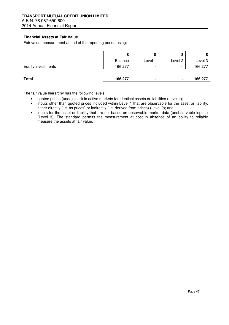# **Financial Assets at Fair Value**

Fair value measurement at end of the reporting period using:

|                    | - 13    | æ                        |                          |         |
|--------------------|---------|--------------------------|--------------------------|---------|
|                    | Balance | Level 1                  | Level 2                  | Level 3 |
| Equity investments | 166,277 | $\overline{\phantom{0}}$ | $\overline{\phantom{0}}$ | 166,277 |
|                    |         |                          |                          |         |
| <b>Total</b>       | 166,277 | $\overline{\phantom{a}}$ | $\blacksquare$           | 166,277 |

The fair value hierarchy has the following levels:

- quoted prices (unadjusted) in active markets for identical assets or liabilities (Level 1);
- inputs other than quoted prices included within Level 1 that are observable for the asset or liability, either directly (i.e. as prices) or indirectly (i.e. derived from prices) (Level 2); and
- inputs for the asset or liability that are not based on observable market data (unobservable inputs) (Level 3). The standard permits the measurement at cost in absence of an ability to reliably measure the assets at fair value.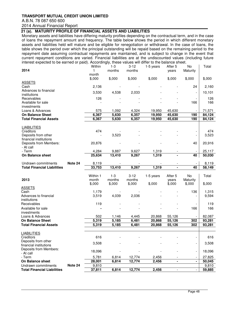# **TRANSPORT MUTUAL CREDIT UNION LIMITED**

# A.B.N. 78 087 650 600

# 2014 Annual Financial Report

# **21 (a). MATURITY PROFILE OF FINANCIAL ASSETS AND LIABILITIES**

 Monetary assets and liabilities have differing maturity profiles depending on the contractual term, and in the case of loans the repayment amount and frequency. The table below shows the period in which different monetary assets and liabilities held will mature and be eligible for renegotiation or withdrawal. In the case of loans, the table shows the period over which the principal outstanding will be repaid based on the remaining period to the repayment date assuming contractual repayments are maintained, and is subject to change in the event that current repayment conditions are varied. Financial liabilities are at the undiscounted values (including future interest expected to be earned or paid). Accordingly, these values will differ to the balance sheet.

| 2014                                             |         | Within<br>1                 | $1 - 3$<br>months | $3 - 12$<br>months | 1-5 years        | After 5<br>years         | No<br>Maturity           | Total            |
|--------------------------------------------------|---------|-----------------------------|-------------------|--------------------|------------------|--------------------------|--------------------------|------------------|
|                                                  |         | month                       |                   |                    |                  |                          |                          |                  |
| <b>ASSETS</b>                                    |         | \$,000                      | \$,000            | \$,000             | \$,000           | \$,000                   | \$,000                   | \$,000           |
| Cash                                             |         | 2,136                       |                   |                    |                  |                          | 24                       | 2,160            |
| Advances to financial                            |         | 3,530                       | 4,538             | 2,033              |                  |                          |                          | 10,101           |
| institutions<br>Receivables                      |         | 126                         |                   |                    |                  |                          |                          | 126              |
| Available for sale                               |         |                             |                   |                    |                  |                          | 166                      | 166              |
| investments                                      |         |                             |                   |                    |                  |                          |                          |                  |
| Loans & Advances<br><b>On Balance Sheet</b>      |         | 575<br>6,367                | 1,092<br>5,630    | 4,324<br>6,357     | 19,950<br>19,950 | 45,630<br>45,630         | 190                      | 71,571<br>84,124 |
| <b>Total Financial Assets</b>                    |         | 6,367                       | 5,630             | 6,357              | 19,950           | 45,630                   | 190                      | 84,124           |
| <b>LIABILITIES</b>                               |         |                             |                   |                    |                  |                          |                          |                  |
| Creditors                                        |         | 474                         |                   |                    |                  |                          |                          | 474              |
| Deposits from other                              |         |                             | 3,523             |                    |                  |                          |                          | 3,523            |
| financial institutions<br>Deposits from Members: |         | 20,876                      |                   |                    |                  |                          | 40                       | 20,916           |
| - At call                                        |         |                             |                   |                    |                  |                          |                          |                  |
| - Term                                           |         | 4,284<br>25,634             | 9,887<br>13,410   | 9,627              | 1,319<br>1,319   |                          |                          | 25,117           |
| On Balance sheet                                 |         |                             |                   | 9,267              |                  |                          | 40                       | 50,030           |
| Undrawn commitments                              | Note 24 | 8,119                       |                   |                    |                  | $\overline{\phantom{a}}$ |                          | 8,119            |
| <b>Total Financial Liabilities</b>               |         | 33,753                      | 13,410            | 9,267              | 1,319            | $\blacksquare$           | 40                       | 58,149           |
|                                                  |         | Within 1                    | $1 - 3$           | $3-12$             | 1-5 years        | After 5                  | No                       | Total            |
| 2013                                             |         | month                       | months            | months             |                  | years                    | Maturity                 |                  |
| <b>ASSETS</b>                                    |         | \$,000                      | \$,000            | \$,000             | \$,000           | \$,000                   | \$,000                   | \$,000           |
| Cash                                             |         | 1,179                       |                   |                    |                  |                          | 136                      | 1,315            |
| Advances to financial<br>institutions            |         | 3,519                       |                   |                    |                  |                          |                          |                  |
|                                                  |         |                             | 4,039             | 2,036              |                  |                          |                          | 9,594            |
|                                                  |         |                             |                   |                    |                  |                          |                          |                  |
| Receivables<br>Available for sale                |         | 119                         |                   |                    |                  |                          | 166                      | 119<br>166       |
| investments                                      |         |                             |                   |                    |                  |                          |                          |                  |
| Loans & Advances<br><b>On Balance Sheet</b>      |         | 502                         | 1,146             | 4,445              | 20,868           | 55,126                   |                          | 82,087           |
| <b>Total Financial Assets</b>                    |         | $\overline{5,}319$<br>5,319 | 5,185<br>5,185    | 6,481<br>6,481     | 20,868<br>20,868 | 55,126<br>55,126         | 302<br>302               | 93,281<br>93,281 |
|                                                  |         |                             |                   |                    |                  |                          |                          |                  |
| <b>LIABILITIES</b>                               |         |                             |                   |                    |                  |                          |                          |                  |
| Creditors<br>Deposits from other                 |         | 616                         |                   |                    |                  |                          |                          | 616              |
| financial institutions                           |         | 3,508                       |                   |                    |                  |                          |                          | 3,508            |
| Deposits from Members:<br>- At call              |         | 18,096                      |                   |                    |                  |                          | $\overline{\phantom{a}}$ | 18,096           |
| - Term                                           |         | 5,781                       | 6,814             | 12,774             | 2,456            |                          |                          | 27,825           |
| On Balance sheet<br>Undrawn commitments          | Note 24 | 28,001<br>9,810             | 6,814             | 12,774             | 2,456            | $\blacksquare$           |                          | 50,045<br>9,810  |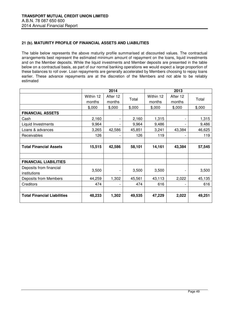## **21 (b). MATURITY PROFILE OF FINANCIAL ASSETS AND LIABILITIES**

The table below represents the above maturity profile summarised at discounted values. The contractual arrangements best represent the estimated minimum amount of repayment on the loans, liquid investments and on the Member deposits. While the liquid investments and Member deposits are presented in the table below on a contractual basis, as part of our normal banking operations we would expect a large proportion of these balances to roll over. Loan repayments are generally accelerated by Members choosing to repay loans earlier. These advance repayments are at the discretion of the Members and not able to be reliably estimated

|                                    |           | 2014     |        | 2013      |                          |        |
|------------------------------------|-----------|----------|--------|-----------|--------------------------|--------|
|                                    | Within 12 | After 12 | Total  | Within 12 | After 12                 | Total  |
|                                    | months    | months   |        | months    | months                   |        |
|                                    | \$,000    | \$,000   | \$,000 | \$,000    | \$,000                   | \$,000 |
| <b>FINANCIAL ASSETS</b>            |           |          |        |           |                          |        |
| Cash                               | 2,160     |          | 2,160  | 1,315     | $\overline{\phantom{a}}$ | 1,315  |
| Liquid Investments                 | 9,964     |          | 9,964  | 9,486     | $\overline{\phantom{0}}$ | 9,486  |
| Loans & advances                   | 3,265     | 42,586   | 45,851 | 3,241     | 43,384                   | 46,625 |
| Receivables                        | 126       |          | 126    | 119       | $\overline{\phantom{a}}$ | 119    |
|                                    |           |          |        |           |                          |        |
| <b>Total Financial Assets</b>      | 15,515    | 42,586   | 58,101 | 14,161    | 43,384                   | 57,545 |
|                                    |           |          |        |           |                          |        |
| <b>FINANCIAL LIABILITIES</b>       |           |          |        |           |                          |        |
| Deposits from financial            |           |          |        |           |                          |        |
| institutions                       | 3,500     |          | 3,500  | 3,500     | $\overline{\phantom{a}}$ | 3,500  |
| <b>Deposits from Members</b>       | 44,259    | 1,302    | 45,561 | 43,113    | 2,022                    | 45,135 |
| Creditors                          | 474       |          | 474    | 616       | -                        | 616    |
|                                    |           |          |        |           |                          |        |
| <b>Total Financial Liabilities</b> | 48,233    | 1,302    | 49,535 | 47,229    | 2,022                    | 49,251 |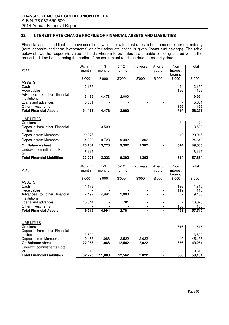#### **22. INTEREST RATE CHANGE PROFILE OF FINANCIAL ASSETS AND LIABILITIES**

Financial assets and liabilities have conditions which allow interest rates to be amended either on maturity (term deposits and term investments) or after adequate notice is given (loans and savings). The table below shows the respective value of funds where interest rates are capable of being altered within the prescribed time bands, being the earlier of the contractual repricing date, or maturity date.

| 2014                                       | Within 1<br>month        | $1 - 3$<br>months | $3 - 12$<br>months | 1-5 years                | After 5<br>years         | Non<br>interest<br>bearing | Total           |
|--------------------------------------------|--------------------------|-------------------|--------------------|--------------------------|--------------------------|----------------------------|-----------------|
|                                            | \$'000                   | \$'000            | \$'000             | \$'000                   | \$'000                   | \$'000                     | \$'000          |
| <b>ASSETS</b>                              |                          |                   |                    |                          |                          |                            |                 |
| Cash                                       | 2,136                    |                   |                    |                          |                          | 24                         | 2,160           |
| Receivables<br>Advances to other financial | $\overline{\phantom{a}}$ |                   |                    |                          |                          | 126                        | 126             |
| Institutions                               | 3,486                    | 4,478             | 2,000              |                          |                          |                            | 9,964           |
| Loans and advances                         | 45,851                   |                   |                    |                          |                          |                            | 45,851          |
| Other Investments                          |                          |                   |                    |                          |                          | 166                        | 166             |
| <b>Total Financial Assets</b>              | 51,473                   | 4,478             | 2,000              | $\overline{\phantom{a}}$ | $\overline{\phantom{0}}$ | 316                        | 58,267          |
|                                            |                          |                   |                    |                          |                          |                            |                 |
| <b>LIABILITIES</b>                         |                          |                   |                    |                          |                          |                            | 474             |
| Creditors<br>Deposits from other Financial |                          | 3,500             |                    |                          |                          | 474                        | 3,500           |
| institutions                               |                          |                   |                    |                          |                          |                            |                 |
| Deposits from Members                      | 20,875                   |                   |                    |                          |                          | 40                         | 20,915          |
| Deposits from Members                      | 4,229                    | 9,723             | 9,392              | 1,302                    |                          |                            | 24,646          |
| <b>On Balance sheet</b>                    | 25,104                   | 13,223            | 9,392              | 1,302                    | ÷,                       | 514                        | 49,535          |
| Undrawn commitments Note<br>24             | 8,119                    |                   |                    |                          |                          |                            | 8,119           |
| <b>Total Financial Liabilities</b>         | 33,223                   | 13,223            | 9,392              | 1,302                    | $\blacksquare$           | 514                        | 57,654          |
|                                            |                          |                   |                    |                          |                          |                            |                 |
|                                            | Within 1                 | $1 - 3$           | $3 - 12$           | 1-5 years                | After 5                  | Non                        | Total           |
| 2013                                       | month                    | months            | months             |                          | years                    | interest                   |                 |
|                                            |                          |                   |                    |                          |                          | bearing                    |                 |
| <b>ASSETS</b>                              | \$'000                   | \$'000            | \$'000             | \$'000                   | \$'000                   | \$'000                     | \$'000          |
| Cash                                       |                          |                   |                    |                          |                          |                            |                 |
|                                            |                          |                   |                    |                          |                          |                            |                 |
|                                            | 1,179                    |                   |                    |                          |                          | 136                        | 1,315           |
| Receivables<br>Advances to other financial | 2,492                    |                   | 2,000              |                          |                          | 119                        | 118<br>9,486    |
| Institutions                               |                          | 4,994             |                    |                          |                          |                            |                 |
| Loans and advances                         | 45,844                   |                   | 781                |                          |                          |                            | 46,625          |
| Other Investments                          |                          |                   |                    |                          |                          | 166                        | 166             |
| <b>Total Financial Assets</b>              | 49,515                   | 4,994             | 2,781              |                          |                          | 421                        | 57,710          |
|                                            |                          |                   |                    |                          |                          |                            |                 |
|                                            |                          |                   |                    |                          |                          |                            |                 |
| <b>LIABILITIES</b>                         |                          |                   |                    |                          |                          |                            | 616             |
| Creditors<br>Deposits from other Financial |                          |                   |                    |                          |                          | 616                        |                 |
| institutions                               | 3,500                    |                   |                    |                          |                          |                            | 3,500           |
| Deposits from Members                      | 19,463                   | 11,088            | 12,522             | 2,022                    |                          | 40                         | 45,135          |
| <b>On Balance sheet</b>                    | 22,963                   | 11,088            | 12,562             | 2,022                    | $\overline{\phantom{0}}$ | 656                        | 49,251          |
| Undrawn commitments Note                   |                          |                   |                    |                          |                          |                            |                 |
| 24<br><b>Total Financial Liabilities</b>   | 9,810<br>32,773          | 11,088            | 12,562             | 2,022                    | $\blacksquare$           | 656                        | 9,810<br>59,101 |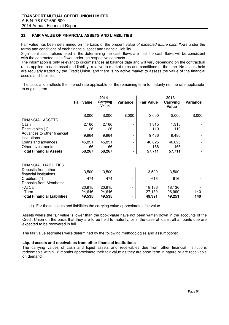#### **23. FAIR VALUE OF FINANCIAL ASSETS AND LIABILITIES**

Fair value has been determined on the basis of the present value of expected future cash flows under the terms and conditions of each financial asset and financial liability.

Significant assumptions used in the determining the cash flows are that the cash flows will be consistent with the contracted cash flows under the respective contracts.

The information is only relevant to circumstances at balance date and will vary depending on the contractual rates applied to each asset and liability, relative to market rates and conditions at the time. No assets held are regularly traded by the Credit Union, and there is no active market to assess the value of the financial assets and liabilities.

The calculation reflects the interest rate applicable for the remaining term to maturity not the rate applicable to original term.

|                                               | <b>Fair Value</b> | 2014<br>Carrying<br>Value | Variance | <b>Fair Value</b> | 2013<br>Carrying<br>Value | Variance |
|-----------------------------------------------|-------------------|---------------------------|----------|-------------------|---------------------------|----------|
|                                               | \$,000            | \$,000                    | \$,000   | \$,000            | \$,000                    | \$,000   |
| <b>FINANCIAL ASSETS</b>                       |                   |                           |          |                   |                           |          |
| Cash                                          | 2,160             | 2,160                     |          | 1,315             | 1,315                     |          |
| Receivables (1)                               | 126               | 126                       |          | 119               | 119                       |          |
| Advances to other financial<br>institutions   | 9,964             | 9,964                     |          | 9,486             | 9,486                     |          |
| Loans and advances                            | 45,851            | 45,851                    |          | 46,625            | 46,625                    |          |
| Other Investments                             | 166               | 166                       |          | 166               | 166                       |          |
| <b>Total Financial Assets</b>                 | 58,267            | 58,267                    | -        | 57,711            | 57,711                    |          |
| <b>FINANCIAL LIABILITIES</b>                  |                   |                           |          |                   |                           |          |
| Deposits from other<br>financial institutions | 3,500             | 3,500                     |          | 3,500             | 3,500                     |          |
| Creditors (1)                                 | 474               | 474                       |          | 616               | 616                       |          |
| Deposits from Members:                        |                   |                           |          |                   |                           |          |
| - At Call                                     | 20,915            | 20,915                    |          | 18,136            | 18,136                    |          |
| - Term                                        | 24,646            | 24,646                    |          | 27,139            | 26,999                    | 140      |
| <b>Total Financial Liabilities</b>            | 49,535            | 49,535                    | -        | 49,391            | 49,251                    | 140      |

(1) For these assets and liabilities the carrying value approximates fair value.

Assets where the fair value is lower than the book value have not been written down in the accounts of the Credit Union on the basis that they are to be held to maturity, or in the case of loans, all amounts due are expected to be recovered in full.

The fair value estimates were determined by the following methodologies and assumptions:

#### **Liquid assets and receivables from other financial institutions**

The carrying values of cash and liquid assets and receivables due from other financial institutions redeemable within 12 months approximate their fair value as they are short term in nature or are receivable on demand.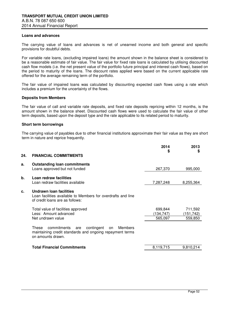#### **Loans and advances**

The carrying value of loans and advances is net of unearned income and both general and specific provisions for doubtful debts.

For variable rate loans, (excluding impaired loans) the amount shown in the balance sheet is considered to be a reasonable estimate of fair value. The fair value for fixed rate loans is calculated by utilising discounted cash flow models (i.e. the net present value of the portfolio future principal and interest cash flows), based on the period to maturity of the loans. The discount rates applied were based on the current applicable rate offered for the average remaining term of the portfolio.

The fair value of impaired loans was calculated by discounting expected cash flows using a rate which includes a premium for the uncertainty of the flows.

#### **Deposits from Members**

The fair value of call and variable rate deposits, and fixed rate deposits repricing within 12 months, is the amount shown in the balance sheet. Discounted cash flows were used to calculate the fair value of other term deposits, based upon the deposit type and the rate applicable to its related period to maturity.

#### **Short term borrowings**

The carrying value of payables due to other financial institutions approximate their fair value as they are short term in nature and reprice frequently.

| 24. | <b>FINANCIAL COMMITMENTS</b>                                                                                                                | 2014<br>\$                      | 2013<br>\$                      |
|-----|---------------------------------------------------------------------------------------------------------------------------------------------|---------------------------------|---------------------------------|
| а.  | <b>Outstanding loan commitments</b><br>Loans approved but not funded                                                                        | 267,370                         | 995,000                         |
| b.  | Loan redraw facilities<br>Loan redraw facilities available                                                                                  | 7,287,248                       | 8,255,364                       |
| C.  | Undrawn Ioan facilities<br>Loan facilities available to Members for overdrafts and line<br>of credit loans are as follows:                  |                                 |                                 |
|     | Total value of facilities approved<br>Less: Amount advanced<br>Net undrawn value                                                            | 699,844<br>(134,747)<br>565,097 | 711,592<br>(151,742)<br>559,850 |
|     | commitments<br>contingent<br>These<br>Members<br>are<br>on<br>maintaining credit standards and ongoing repayment terms<br>on amounts drawn. |                                 |                                 |
|     | <b>Total Financial Commitments</b>                                                                                                          | 8,119,715                       | 9,810,214                       |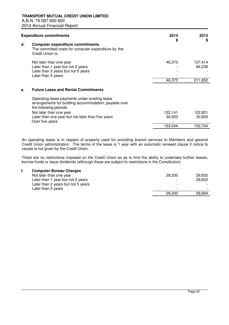| <b>Expenditure commitments</b>                                                                                                                                                                                                      | 2014              | 2013                         |
|-------------------------------------------------------------------------------------------------------------------------------------------------------------------------------------------------------------------------------------|-------------------|------------------------------|
| d.<br><b>Computer expenditure commitments</b><br>The committed costs for computer expenditure by the<br>Credit Union is:                                                                                                            | \$                | \$                           |
| Not later than one year<br>Later than 1 year but not 2 years<br>Later than 2 years but not 5 years<br>Later than 5 years                                                                                                            | 46,373<br>46,373  | 127,414<br>84,238<br>211,652 |
| <b>Future Lease and Rental Commitments</b><br>е.                                                                                                                                                                                    |                   |                              |
| Operating lease payments under existing lease<br>arrangements for building accommodation, payable over<br>the following periods.<br>Not later than one year<br>Later than one year but not later than five years<br>Over five years | 122,141<br>30,903 | 122,801<br>30,903            |
|                                                                                                                                                                                                                                     | 153,044           | 153,704                      |

 An operating lease is in respect of property used for providing branch services to Members and general Credit Union administration. The terms of the lease is 1 year with an automatic renewal clause if notice to vacate is not given by the Credit Union.

 There are no restrictions imposed on the Credit Union so as to limit the ability to undertake further leases, borrow funds or issue dividends (although these are subject to restrictions in the Constitution).

#### **f. Computer Bureau Charges**

| Not later than one year            | 28,200                   | 29,832 |
|------------------------------------|--------------------------|--------|
| Later than 1 year but not 2 years  |                          | 29.832 |
| Later than 2 years but not 5 years | $\overline{\phantom{0}}$ |        |
| Later than 5 years                 | -                        |        |
|                                    | 28,200                   | 59.664 |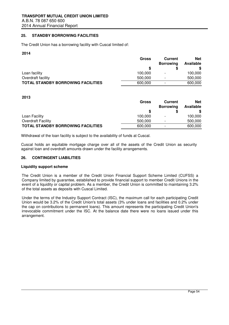#### **25. STANDBY BORROWING FACILITIES**

The Credit Union has a borrowing facility with Cuscal limited of:

#### **2014**

|                                           | Gross   | <b>Current</b>           | <b>Net</b><br>Available |  |
|-------------------------------------------|---------|--------------------------|-------------------------|--|
|                                           |         | <b>Borrowing</b>         |                         |  |
|                                           |         |                          |                         |  |
| Loan facility                             | 100,000 |                          | 100,000                 |  |
| Overdraft facility                        | 500,000 | $\blacksquare$           | 500,000                 |  |
| <b>TOTAL STANDBY BORROWING FACILITIES</b> | 600,000 | $\overline{\phantom{0}}$ | 600,000                 |  |

#### **2013**

|                                           | Gross   | <b>Current</b>           | <b>Net</b> |  |
|-------------------------------------------|---------|--------------------------|------------|--|
|                                           |         | <b>Borrowing</b>         | Available  |  |
|                                           |         |                          |            |  |
| Loan Facility                             | 100.000 | $\blacksquare$           | 100,000    |  |
| <b>Overdraft Facility</b>                 | 500.000 | $\overline{\phantom{a}}$ | 500,000    |  |
| <b>TOTAL STANDBY BORROWING FACILITIES</b> | 600,000 | $\overline{\phantom{0}}$ | 600,000    |  |

Withdrawal of the loan facility is subject to the availability of funds at Cuscal.

Cuscal holds an equitable mortgage charge over all of the assets of the Credit Union as security against loan and overdraft amounts drawn under the facility arrangements.

#### **26. CONTINGENT LIABILITIES**

#### **Liquidity support scheme**

The Credit Union is a member of the Credit Union Financial Support Scheme Limited (CUFSS) a Company limited by guarantee, established to provide financial support to member Credit Unions in the event of a liquidity or capital problem. As a member, the Credit Union is committed to maintaining 3.2% of the total assets as deposits with Cuscal Limited.

Under the terms of the Industry Support Contract (ISC), the maximum call for each participating Credit Union would be 3.2% of the Credit Union's total assets (3% under loans and facilities and 0.2% under the cap on contributions to permanent loans). This amount represents the participating Credit Union's irrevocable commitment under the ISC. At the balance date there were no loans issued under this arrangement.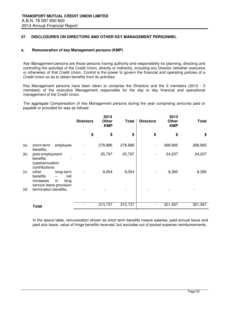#### **27. DISCLOSURES ON DIRECTORS AND OTHER KEY MANAGEMENT PERSONNEL**

#### **a. Remuneration of key Management persons (KMP)**

Key Management persons are those persons having authority and responsibility for planning, directing and controlling the activities of the Credit Union, directly or indirectly, including any Director (whether executive or otherwise) of that Credit Union. Control is the power to govern the financial and operating policies of a Credit Union so as to obtain benefits from its activities.

Key Management persons have been taken to comprise the Directors and the 2 members (2013 - 2 members) of the executive Management responsible for the day to day financial and operational management of the Credit Union.

The aggregate Compensation of key Management persons during the year comprising amounts paid or payable or provided for was as follows:

|                                                                                                                                 | <b>Directors</b> | 2014<br>Other<br><b>KMP</b> | Total   | <b>Directors</b>         | 2013<br>Other<br><b>KMP</b> | <b>Total</b> |
|---------------------------------------------------------------------------------------------------------------------------------|------------------|-----------------------------|---------|--------------------------|-----------------------------|--------------|
|                                                                                                                                 | \$               | \$                          | \$      | \$                       | \$                          | \$           |
| (a)<br>employee<br>short-term<br>benefits;                                                                                      |                  | 278,886                     | 278,886 | $\overline{\phantom{a}}$ | 268,965                     | 268,965      |
| (b)<br>post-employment<br>benefits<br>superannuation<br>contributions                                                           |                  | 25,797                      | 25,797  | $\overline{\phantom{0}}$ | 24,207                      | 24,207       |
| (c)<br>long-term<br>other<br>benefits<br>net<br>$\overline{\phantom{0}}$<br>increases<br>in.<br>long<br>service leave provision |                  | 9,054                       | 9,054   |                          | 8,395                       | 8,395        |
| termination benefits;<br>(d)                                                                                                    |                  |                             |         |                          |                             |              |
| <b>Total</b>                                                                                                                    |                  | 313,737                     | 313,737 |                          | 301,567                     | 301,567      |

In the above table, remuneration shown as short term benefits means salaries, paid annual leave and paid sick leave, value of fringe benefits received, but excludes out of pocket expense reimbursements.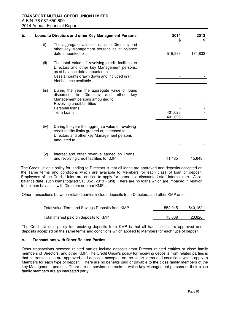| b. |       | Loans to Directors and other Key Management Persons                                                                                                              | 2014<br>S          | 2013<br>S |
|----|-------|------------------------------------------------------------------------------------------------------------------------------------------------------------------|--------------------|-----------|
|    | (i)   | The aggregate value of loans to Directors and<br>other key Management persons as at balance                                                                      |                    |           |
|    |       | date amounted to                                                                                                                                                 | 516,989            | 174,832   |
|    | (ii)  | The total value of revolving credit facilities to<br>Directors and other key Management persons,                                                                 |                    |           |
|    |       | as at balance date amounted to                                                                                                                                   |                    |           |
|    |       | Less amounts drawn down and included in (i)                                                                                                                      |                    |           |
|    |       | Net balance available                                                                                                                                            |                    |           |
|    | (iii) | During the year the aggregate value of loans<br><b>Directors</b><br>to<br>disbursed<br>and<br>other<br>key<br>Management persons amounted to:                    |                    |           |
|    |       | Revolving credit facilities                                                                                                                                      |                    |           |
|    |       | Personal loans                                                                                                                                                   |                    |           |
|    |       | <b>Term Loans</b>                                                                                                                                                | 401,026<br>401,026 |           |
|    |       |                                                                                                                                                                  |                    |           |
|    | (iv)  | During the year the aggregate value of revolving<br>credit facility limits granted or increased to<br>Directors and other key Management persons<br>amounted to: |                    |           |
|    |       |                                                                                                                                                                  |                    |           |
|    | (v)   | Interest and other revenue earned on Loans                                                                                                                       |                    |           |
|    |       | and revolving credit facilities to KMP                                                                                                                           | 11,485             | 15,648    |

The Credit Union's policy for lending to Directors is that all loans are approved and deposits accepted on the same terms and conditions which are available to Members for each class of loan or deposit. Employees of the Credit Union are entitled to apply for loans at a discounted staff interest rate. As at balance date, such loans totalled \$10,052 (2013 - \$nil). There are no loans which are impaired in relation to the loan balances with Directors or other KMPs.

Other transactions between related parties include deposits from Directors, and other KMP are -

| Total value Term and Savings Deposits from KMP | 552.915 | 540,152 |
|------------------------------------------------|---------|---------|
| Total Interest paid on deposits to KMP         | 15.668  | 23.626  |

The Credit Union's policy for receiving deposits from KMP is that all transactions are approved and deposits accepted on the same terms and conditions which applied to Members for each type of deposit.

#### **c. Transactions with Other Related Parties**

Other transactions between related parties include deposits from Director related entities or close family members of Directors, and other KMP. The Credit Union's policy for receiving deposits from related parties is that all transactions are approved and deposits accepted on the same terms and conditions which apply to Members for each type of deposit. There are no benefits paid or payable to the close family members of the key Management persons. There are no service contracts to which key Management persons or their close family members are an interested party.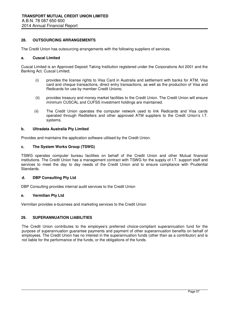#### **28. OUTSOURCING ARRANGEMENTS**

The Credit Union has outsourcing arrangements with the following suppliers of services.

#### **a. Cuscal Limited**

Cuscal Limited is an Approved Deposit Taking Institution registered under the Corporations Act 2001 and the Banking Act. Cuscal Limited;

- (i) provides the license rights to Visa Card in Australia and settlement with banks for ATM, Visa card and cheque transactions, direct entry transactions, as well as the production of Visa and Redicards for use by member Credit Unions;
- (ii) provides treasury and money market facilities to the Credit Union. The Credit Union will ensure minimum CUSCAL and CUFSS investment holdings are maintained.
- (ii) The Credit Union operates the computer network used to link Redicards and Visa cards operated through Reditellers and other approved ATM suppliers to the Credit Union's I.T. systems.

#### **b. Ultradata Australia Pty Limited**

Provides and maintains the application software utilised by the Credit Union.

#### **c. The System Works Group (TSWG)**

TSWG operates computer bureau facilities on behalf of the Credit Union and other Mutual financial institutions. The Credit Union has a management contract with TSWG for the supply of I.T. support staff and services to meet the day to day needs of the Credit Union and to ensure compliance with Prudential Standards.

#### **d. DBP Consulting Pty Ltd**

DBP Consulting provides internal audit services to the Credit Union

#### **e. Vermilian Pty Ltd**

Vermilian provides e-business and marketing services to the Credit Union

#### **29. SUPERANNUATION LIABILITIES**

The Credit Union contributes to the employee's preferred choice-compliant superannuation fund for the purpose of superannuation guarantee payments and payment of other superannuation benefits on behalf of employees. The Credit Union has no interest in the superannuation funds (other than as a contributor) and is not liable for the performance of the funds, or the obligations of the funds.